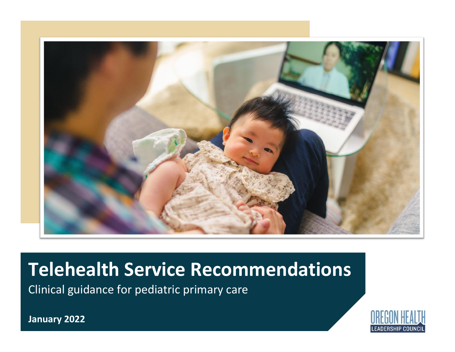

# **Telehealth Service Recommendations**

Clinical guidance for pediatric primary care



**January 2022**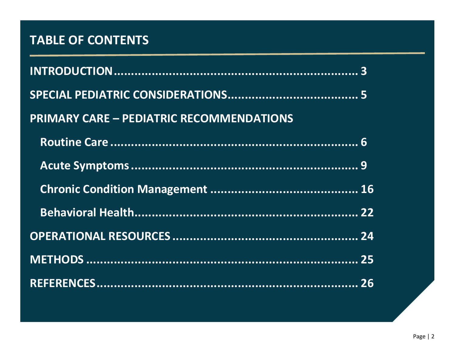# **TABLE OF CONTENTS**

| <b>PRIMARY CARE - PEDIATRIC RECOMMENDATIONS</b> |  |
|-------------------------------------------------|--|
|                                                 |  |
|                                                 |  |
|                                                 |  |
|                                                 |  |
|                                                 |  |
|                                                 |  |
|                                                 |  |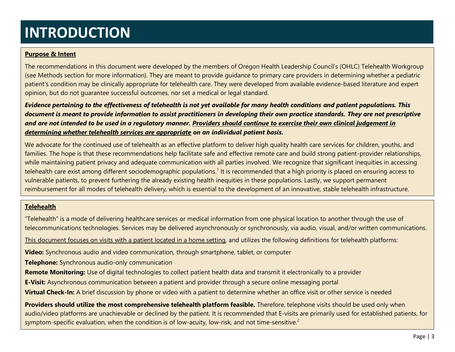# **INTRODUCTION**

# **Purpose & Intent**

The recommendations in this document were developed by the members of Oregon Health Leadership Council's (OHLC) Telehealth Workgroup (see Methods section for more information). They are meant to provide guidance to primary care providers in determining whether a pediatric patient's condition may be clinically appropriate for telehealth care. They were developed from available evidence-based literature and expert opinion, but do not guarantee successful outcomes, nor set a medical or legal standard.

*Evidence pertaining to the effectiveness of telehealth is not yet available for many health conditions and patient populations. This document is meant to provide information to assist practitioners in developing their own practice standards. They are not prescriptive and are not intended to be used in a regulatory manner. Providers should continue to exercise their own clinical judgement in determining whether telehealth services are appropriate on an individual patient basis.*

We advocate for the continued use of telehealth as an effective platform to deliver high quality health care services for children, youths, and families. The hope is that these recommendations help facilitate safe and effective remote care and build strong patient-provider relationships, while maintaining patient privacy and adequate communication with all parties involved. We recognize that significant inequities in accessing telehealth care exist among different sociodemographic populations.<sup>1</sup> It is recommended that a high priority is placed on ensuring access to vulnerable patients, to prevent furthering the already existing health inequities in these populations. Lastly, we support permanent reimbursement for all modes of telehealth delivery, which is essential to the development of an innovative, stable telehealth infrastructure.

# **Telehealth**

"Telehealth" is a mode of delivering healthcare services or medical information from one physical location to another through the use of telecommunications technologies. Services may be delivered asynchronously or synchronously, via audio, visual, and/or written communications.

This document focuses on visits with a patient located in a home setting, and utilizes the following definitions for telehealth platforms:

**Video:** Synchronous audio and video communication, through smartphone, tablet, or computer

**Telephone:** Synchronous audio-only communication

**Remote Monitoring:** Use of digital technologies to collect patient health data and transmit it electronically to a provider

**E-Visit:** Asynchronous communication between a patient and provider through a secure online messaging portal

**Virtual Check-In:** A brief discussion by phone or video with a patient to determine whether an office visit or other service is needed

**Providers should utilize the most comprehensive telehealth platform feasible.** Therefore, telephone visits should be used only when audio/video platforms are unachievable or declined by the patient. It is recommended that E-visits are primarily used for established patients, for symptom-specific evaluation, when the condition is of low-acuity, low-risk, and not time-sensitive.<sup>2</sup>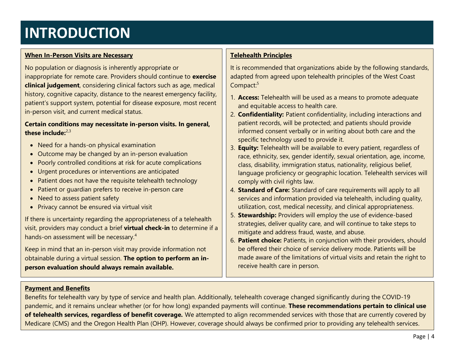# **INTRODUCTION**

# **When In-Person Visits are Necessary**

No population or diagnosis is inherently appropriate or inappropriate for remote care. Providers should continue to **exercise clinical judgement**, considering clinical factors such as age, medical history, cognitive capacity, distance to the nearest emergency facility, patient's support system, potential for disease exposure, most recent in-person visit, and current medical status.

# **Certain conditions may necessitate in-person visits. In general, these include:**2,3

- Need for a hands-on physical examination
- Outcome may be changed by an in-person evaluation
- Poorly controlled conditions at risk for acute complications
- Urgent procedures or interventions are anticipated
- Patient does not have the requisite telehealth technology
- Patient or guardian prefers to receive in-person care
- Need to assess patient safety
- Privacy cannot be ensured via virtual visit

If there is uncertainty regarding the appropriateness of a telehealth visit, providers may conduct a brief **virtual check-in** to determine if a hands-on assessment will be necessary.<sup>4</sup>

Keep in mind that an in-person visit may provide information not obtainable during a virtual session. **The option to perform an inperson evaluation should always remain available.**

# **Telehealth Principles**

It is recommended that organizations abide by the following standards, adapted from agreed upon telehealth principles of the West Coast Compact:<sup>5</sup>

- 1. **Access:** Telehealth will be used as a means to promote adequate and equitable access to health care.
- 2. **Confidentiality:** Patient confidentiality, including interactions and patient records, will be protected; and patients should provide informed consent verbally or in writing about both care and the specific technology used to provide it.
- 3. **Equity:** Telehealth will be available to every patient, regardless of race, ethnicity, sex, gender identify, sexual orientation, age, income, class, disability, immigration status, nationality, religious belief, language proficiency or geographic location. Telehealth services will comply with civil rights law.
- 4. **Standard of Care:** Standard of care requirements will apply to all services and information provided via telehealth, including quality, utilization, cost, medical necessity, and clinical appropriateness.
- 5. **Stewardship:** Providers will employ the use of evidence-based strategies, deliver quality care, and will continue to take steps to mitigate and address fraud, waste, and abuse.
- 6. **Patient choice:** Patients, in conjunction with their providers, should be offered their choice of service delivery mode. Patients will be made aware of the limitations of virtual visits and retain the right to receive health care in person.

# **Payment and Benefits**

Benefits for telehealth vary by type of service and health plan. Additionally, telehealth coverage changed significantly during the COVID-19 pandemic, and it remains unclear whether (or for how long) expanded payments will continue. **These recommendations pertain to clinical use of telehealth services, regardless of benefit coverage.** We attempted to align recommended services with those that are currently covered by Medicare (CMS) and the Oregon Health Plan (OHP). However, coverage should always be confirmed prior to providing any telehealth services.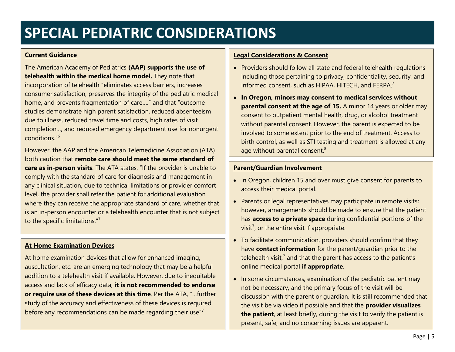# **SPECIAL PEDIATRIC CONSIDERATIONS**

### **Current Guidance**

The American Academy of Pediatrics **(AAP) supports the use of telehealth within the medical home model.** They note that incorporation of telehealth "eliminates access barriers, increases consumer satisfaction, preserves the integrity of the pediatric medical home, and prevents fragmentation of care…." and that "outcome studies demonstrate high parent satisfaction, reduced absenteeism due to illness, reduced travel time and costs, high rates of visit completion…, and reduced emergency department use for nonurgent conditions." 6

However, the AAP and the American Telemedicine Association (ATA) both caution that **remote care should meet the same standard of care as in-person visits**. The ATA states, "If the provider is unable to comply with the standard of care for diagnosis and management in any clinical situation, due to technical limitations or provider comfort level, the provider shall refer the patient for additional evaluation where they can receive the appropriate standard of care, whether that is an in-person encounter or a telehealth encounter that is not subject to the specific limitations."<sup>7</sup>

# **At Home Examination Devices**

At home examination devices that allow for enhanced imaging, auscultation, etc. are an emerging technology that may be a helpful addition to a telehealth visit if available. However, due to inequitable access and lack of efficacy data, **it is not recommended to endorse or require use of these devices at this time**. Per the ATA, "…further study of the accuracy and effectiveness of these devices is required before any recommendations can be made regarding their use"<sup>7</sup>

# **Legal Considerations & Consent**

- Providers should follow all state and federal telehealth regulations including those pertaining to privacy, confidentiality, security, and informed consent, such as HIPAA, HITECH, and FERPA.<sup>7</sup>
- **In Oregon, minors may consent to medical services without parental consent at the age of 15.** A minor 14 years or older may consent to outpatient mental health, drug, or alcohol treatment without parental consent. However, the parent is expected to be involved to some extent prior to the end of treatment. Access to birth control, as well as STI testing and treatment is allowed at any age without parental consent.<sup>8</sup>

# **Parent/Guardian Involvement**

- In Oregon, children 15 and over must give consent for parents to access their medical portal.
- Parents or legal representatives may participate in remote visits; however, arrangements should be made to ensure that the patient has **access to a private space** during confidential portions of the visit<sup>7</sup>, or the entire visit if appropriate.
- To facilitate communication, providers should confirm that they have **contact information** for the parent/guardian prior to the telehealth visit, $<sup>7</sup>$  and that the parent has access to the patient's</sup> online medical portal **if appropriate**.
- In some circumstances, examination of the pediatric patient may not be necessary, and the primary focus of the visit will be discussion with the parent or guardian. It is still recommended that the visit be via video if possible and that the **provider visualizes the patient**, at least briefly, during the visit to verify the patient is present, safe, and no concerning issues are apparent.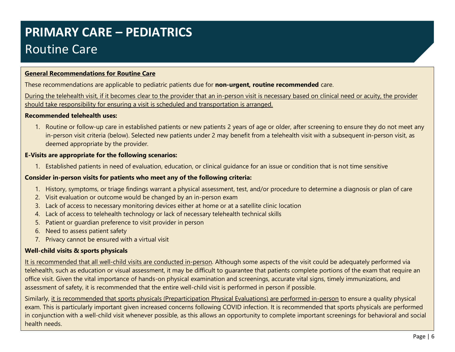# **PRIMARY CARE – PEDIATRICS** Routine Care

# **General Recommendations for Routine Care**

These recommendations are applicable to pediatric patients due for **non-urgent, routine recommended** care.

During the telehealth visit, if it becomes clear to the provider that an in-person visit is necessary based on clinical need or acuity, the provider should take responsibility for ensuring a visit is scheduled and transportation is arranged.

### **Recommended telehealth uses:**

1. Routine or follow-up care in established patients or new patients 2 years of age or older, after screening to ensure they do not meet any in-person visit criteria (below). Selected new patients under 2 may benefit from a telehealth visit with a subsequent in-person visit, as deemed appropriate by the provider.

# **E-Visits are appropriate for the following scenarios:**

1. Established patients in need of evaluation, education, or clinical guidance for an issue or condition that is not time sensitive

### **Consider in-person visits for patients who meet any of the following criteria:**

- 1. History, symptoms, or triage findings warrant a physical assessment, test, and/or procedure to determine a diagnosis or plan of care
- 2. Visit evaluation or outcome would be changed by an in-person exam
- 3. Lack of access to necessary monitoring devices either at home or at a satellite clinic location
- 4. Lack of access to telehealth technology or lack of necessary telehealth technical skills
- 5. Patient or guardian preference to visit provider in person
- 6. Need to assess patient safety
- 7. Privacy cannot be ensured with a virtual visit

# **Well-child visits & sports physicals**

It is recommended that all well-child visits are conducted in-person. Although some aspects of the visit could be adequately performed via telehealth, such as education or visual assessment, it may be difficult to guarantee that patients complete portions of the exam that require an office visit. Given the vital importance of hands-on physical examination and screenings, accurate vital signs, timely immunizations, and assessment of safety, it is recommended that the entire well-child visit is performed in person if possible.

Similarly, it is recommended that sports physicals (Preparticipation Physical Evaluations) are performed in-person to ensure a quality physical exam. This is particularly important given increased concerns following COVID infection. It is recommended that sports physicals are performed in conjunction with a well-child visit whenever possible, as this allows an opportunity to complete important screenings for behavioral and social health needs.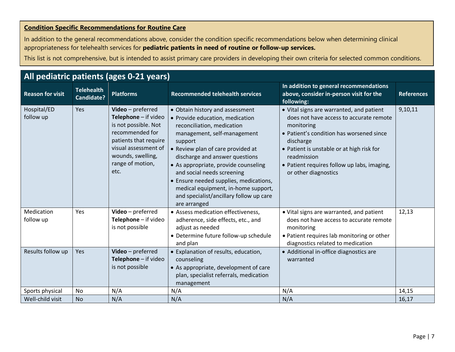# **Condition Specific Recommendations for Routine Care**

In addition to the general recommendations above, consider the condition specific recommendations below when determining clinical appropriateness for telehealth services for **pediatric patients in need of routine or follow-up services.**

| All pediatric patients (ages 0-21 years) |                                 |                                                                                                                                                                                        |                                                                                                                                                                                                                                                                                                                                                                                                                                     |                                                                                                                                                                                                                                                                                               |                   |  |  |  |
|------------------------------------------|---------------------------------|----------------------------------------------------------------------------------------------------------------------------------------------------------------------------------------|-------------------------------------------------------------------------------------------------------------------------------------------------------------------------------------------------------------------------------------------------------------------------------------------------------------------------------------------------------------------------------------------------------------------------------------|-----------------------------------------------------------------------------------------------------------------------------------------------------------------------------------------------------------------------------------------------------------------------------------------------|-------------------|--|--|--|
| <b>Reason for visit</b>                  | <b>Telehealth</b><br>Candidate? | <b>Platforms</b>                                                                                                                                                                       | <b>Recommended telehealth services</b>                                                                                                                                                                                                                                                                                                                                                                                              | In addition to general recommendations<br>above, consider in-person visit for the<br>following:                                                                                                                                                                                               | <b>References</b> |  |  |  |
| Hospital/ED<br>follow up                 | Yes                             | Video - preferred<br>Telephone - if video<br>is not possible. Not<br>recommended for<br>patients that require<br>visual assessment of<br>wounds, swelling,<br>range of motion,<br>etc. | • Obtain history and assessment<br>• Provide education, medication<br>reconciliation, medication<br>management, self-management<br>support<br>• Review plan of care provided at<br>discharge and answer questions<br>• As appropriate, provide counseling<br>and social needs screening<br>• Ensure needed supplies, medications,<br>medical equipment, in-home support,<br>and specialist/ancillary follow up care<br>are arranged | • Vital signs are warranted, and patient<br>does not have access to accurate remote<br>monitoring<br>• Patient's condition has worsened since<br>discharge<br>• Patient is unstable or at high risk for<br>readmission<br>• Patient requires follow up labs, imaging,<br>or other diagnostics | 9,10,11           |  |  |  |
| Medication<br>follow up                  | Yes                             | Video - preferred<br>Telephone - if video<br>is not possible                                                                                                                           | • Assess medication effectiveness,<br>adherence, side effects, etc., and<br>adjust as needed<br>• Determine future follow-up schedule<br>and plan                                                                                                                                                                                                                                                                                   | . Vital signs are warranted, and patient<br>does not have access to accurate remote<br>monitoring<br>• Patient requires lab monitoring or other<br>diagnostics related to medication                                                                                                          | 12,13             |  |  |  |
| Results follow up                        | Yes                             | Video - preferred<br>Telephone - if video<br>is not possible                                                                                                                           | • Explanation of results, education,<br>counseling<br>• As appropriate, development of care<br>plan, specialist referrals, medication<br>management                                                                                                                                                                                                                                                                                 | • Additional in-office diagnostics are<br>warranted                                                                                                                                                                                                                                           |                   |  |  |  |
| Sports physical                          | No                              | N/A                                                                                                                                                                                    | N/A                                                                                                                                                                                                                                                                                                                                                                                                                                 | N/A                                                                                                                                                                                                                                                                                           | 14,15             |  |  |  |
| Well-child visit                         | <b>No</b>                       | N/A                                                                                                                                                                                    | N/A                                                                                                                                                                                                                                                                                                                                                                                                                                 | N/A                                                                                                                                                                                                                                                                                           | 16,17             |  |  |  |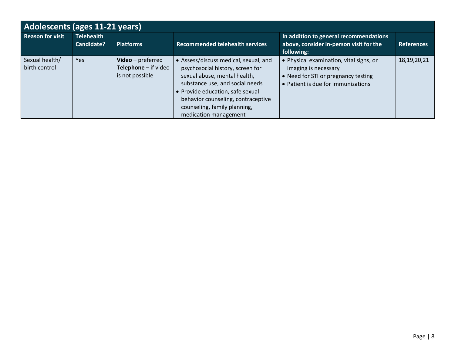| Adolescents (ages 11-21 years)  |                                 |                                                              |                                                                                                                                                                                                                                                                                 |                                                                                                                                          |                   |  |  |
|---------------------------------|---------------------------------|--------------------------------------------------------------|---------------------------------------------------------------------------------------------------------------------------------------------------------------------------------------------------------------------------------------------------------------------------------|------------------------------------------------------------------------------------------------------------------------------------------|-------------------|--|--|
| <b>Reason for visit</b>         | <b>Telehealth</b><br>Candidate? | <b>Platforms</b>                                             | <b>Recommended telehealth services</b>                                                                                                                                                                                                                                          | In addition to general recommendations<br>above, consider in-person visit for the<br>following:                                          | <b>References</b> |  |  |
| Sexual health/<br>birth control | <b>Yes</b>                      | Video - preferred<br>Telephone - if video<br>is not possible | • Assess/discuss medical, sexual, and<br>psychosocial history, screen for<br>sexual abuse, mental health,<br>substance use, and social needs<br>• Provide education, safe sexual<br>behavior counseling, contraceptive<br>counseling, family planning,<br>medication management | Physical examination, vital signs, or<br>imaging is necessary<br>• Need for STI or pregnancy testing<br>Patient is due for immunizations | 18, 19, 20, 21    |  |  |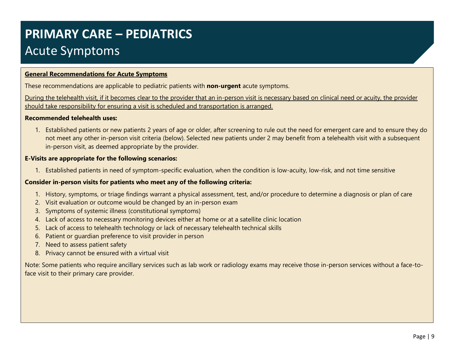# **PRIMARY CARE – PEDIATRICS** Acute Symptoms

# **General Recommendations for Acute Symptoms**

These recommendations are applicable to pediatric patients with **non-urgent** acute symptoms.

During the telehealth visit, if it becomes clear to the provider that an in-person visit is necessary based on clinical need or acuity, the provider should take responsibility for ensuring a visit is scheduled and transportation is arranged.

#### **Recommended telehealth uses:**

1. Established patients or new patients 2 years of age or older, after screening to rule out the need for emergent care and to ensure they do not meet any other in-person visit criteria (below). Selected new patients under 2 may benefit from a telehealth visit with a subsequent in-person visit, as deemed appropriate by the provider.

#### **E-Visits are appropriate for the following scenarios:**

1. Established patients in need of symptom-specific evaluation, when the condition is low-acuity, low-risk, and not time sensitive

### **Consider in-person visits for patients who meet any of the following criteria:**

- 1. History, symptoms, or triage findings warrant a physical assessment, test, and/or procedure to determine a diagnosis or plan of care
- 2. Visit evaluation or outcome would be changed by an in-person exam
- 3. Symptoms of systemic illness (constitutional symptoms)
- 4. Lack of access to necessary monitoring devices either at home or at a satellite clinic location
- 5. Lack of access to telehealth technology or lack of necessary telehealth technical skills
- 6. Patient or guardian preference to visit provider in person
- 7. Need to assess patient safety
- 8. Privacy cannot be ensured with a virtual visit

Note: Some patients who require ancillary services such as lab work or radiology exams may receive those in-person services without a face-toface visit to their primary care provider.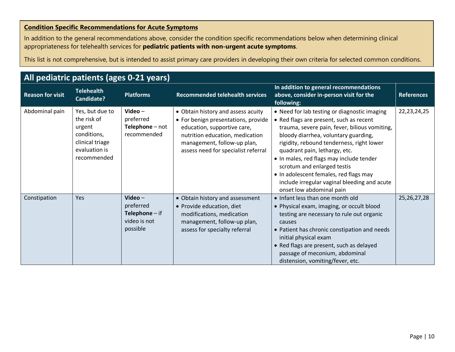# **Condition Specific Recommendations for Acute Symptoms**

In addition to the general recommendations above, consider the condition specific recommendations below when determining clinical appropriateness for telehealth services for **pediatric patients with non-urgent acute symptoms**.

| All pediatric patients (ages 0-21 years) |                                                                                                            |                                                                               |                                                                                                                                                                                                                   |                                                                                                                                                                                                                                                                                                                                                                                                                                                                 |                   |  |  |
|------------------------------------------|------------------------------------------------------------------------------------------------------------|-------------------------------------------------------------------------------|-------------------------------------------------------------------------------------------------------------------------------------------------------------------------------------------------------------------|-----------------------------------------------------------------------------------------------------------------------------------------------------------------------------------------------------------------------------------------------------------------------------------------------------------------------------------------------------------------------------------------------------------------------------------------------------------------|-------------------|--|--|
| <b>Reason for visit</b>                  | <b>Telehealth</b><br>Candidate?                                                                            | <b>Platforms</b>                                                              | <b>Recommended telehealth services</b>                                                                                                                                                                            | In addition to general recommendations<br>above, consider in-person visit for the<br>following:                                                                                                                                                                                                                                                                                                                                                                 | <b>References</b> |  |  |
| Abdominal pain                           | Yes, but due to<br>the risk of<br>urgent<br>conditions,<br>clinical triage<br>evaluation is<br>recommended | Video $-$<br>preferred<br>Telephone - not<br>recommended                      | • Obtain history and assess acuity<br>• For benign presentations, provide<br>education, supportive care,<br>nutrition education, medication<br>management, follow-up plan,<br>assess need for specialist referral | • Need for lab testing or diagnostic imaging<br>• Red flags are present, such as recent<br>trauma, severe pain, fever, bilious vomiting,<br>bloody diarrhea, voluntary guarding,<br>rigidity, rebound tenderness, right lower<br>quadrant pain, lethargy, etc.<br>. In males, red flags may include tender<br>scrotum and enlarged testis<br>• In adolescent females, red flags may<br>include irregular vaginal bleeding and acute<br>onset low abdominal pain | 22, 23, 24, 25    |  |  |
| Constipation                             | Yes                                                                                                        | Video $-$<br>preferred<br><b>Telephone</b> $-$ if<br>video is not<br>possible | • Obtain history and assessment<br>• Provide education, diet<br>modifications, medication<br>management, follow-up plan,<br>assess for specialty referral                                                         | . Infant less than one month old<br>• Physical exam, imaging, or occult blood<br>testing are necessary to rule out organic<br>causes<br>• Patient has chronic constipation and needs<br>initial physical exam<br>• Red flags are present, such as delayed<br>passage of meconium, abdominal<br>distension, vomiting/fever, etc.                                                                                                                                 | 25, 26, 27, 28    |  |  |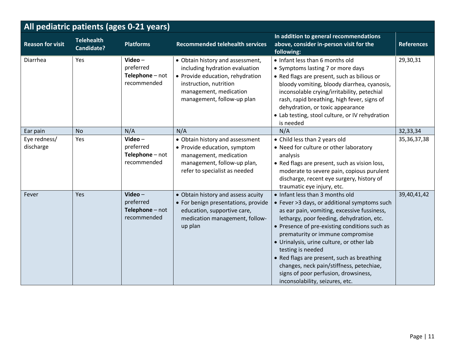| All pediatric patients (ages 0-21 years) |                                        |                                                          |                                                                                                                                                                                          |                                                                                                                                                                                                                                                                                                                                                                                                                                                                                                         |                   |  |
|------------------------------------------|----------------------------------------|----------------------------------------------------------|------------------------------------------------------------------------------------------------------------------------------------------------------------------------------------------|---------------------------------------------------------------------------------------------------------------------------------------------------------------------------------------------------------------------------------------------------------------------------------------------------------------------------------------------------------------------------------------------------------------------------------------------------------------------------------------------------------|-------------------|--|
| <b>Reason for visit</b>                  | <b>Telehealth</b><br><b>Candidate?</b> | <b>Platforms</b>                                         | <b>Recommended telehealth services</b>                                                                                                                                                   | In addition to general recommendations<br>above, consider in-person visit for the<br>following:                                                                                                                                                                                                                                                                                                                                                                                                         | <b>References</b> |  |
| Diarrhea                                 | Yes                                    | Video $-$<br>preferred<br>Telephone - not<br>recommended | • Obtain history and assessment,<br>including hydration evaluation<br>• Provide education, rehydration<br>instruction, nutrition<br>management, medication<br>management, follow-up plan | • Infant less than 6 months old<br>• Symptoms lasting 7 or more days<br>• Red flags are present, such as bilious or<br>bloody vomiting, bloody diarrhea, cyanosis,<br>inconsolable crying/irritability, petechial<br>rash, rapid breathing, high fever, signs of<br>dehydration, or toxic appearance<br>• Lab testing, stool culture, or IV rehydration<br>is needed                                                                                                                                    | 29,30,31          |  |
| Ear pain                                 | <b>No</b>                              | N/A                                                      | N/A                                                                                                                                                                                      | N/A                                                                                                                                                                                                                                                                                                                                                                                                                                                                                                     | 32,33,34          |  |
| Eye redness/<br>discharge                | Yes                                    | Video $-$<br>preferred<br>Telephone - not<br>recommended | • Obtain history and assessment<br>• Provide education, symptom<br>management, medication<br>management, follow-up plan,<br>refer to specialist as needed                                | • Child less than 2 years old<br>• Need for culture or other laboratory<br>analysis<br>• Red flags are present, such as vision loss,<br>moderate to severe pain, copious purulent<br>discharge, recent eye surgery, history of<br>traumatic eye injury, etc.                                                                                                                                                                                                                                            | 35, 36, 37, 38    |  |
| Fever                                    | Yes                                    | Video-<br>preferred<br>Telephone - not<br>recommended    | • Obtain history and assess acuity<br>• For benign presentations, provide<br>education, supportive care,<br>medication management, follow-<br>up plan                                    | • Infant less than 3 months old<br>• Fever >3 days, or additional symptoms such<br>as ear pain, vomiting, excessive fussiness,<br>lethargy, poor feeding, dehydration, etc.<br>• Presence of pre-existing conditions such as<br>prematurity or immune compromise<br>• Urinalysis, urine culture, or other lab<br>testing is needed<br>• Red flags are present, such as breathing<br>changes, neck pain/stiffness, petechiae,<br>signs of poor perfusion, drowsiness,<br>inconsolability, seizures, etc. | 39,40,41,42       |  |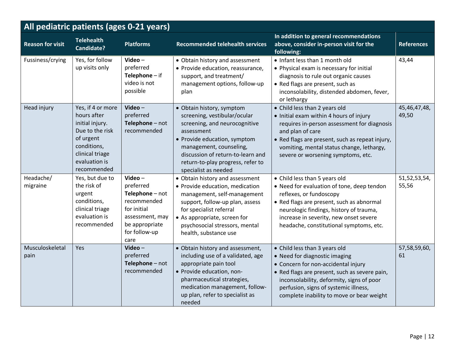| All pediatric patients (ages 0-21 years) |                                                                                                                                                       |                                                                                                                                    |                                                                                                                                                                                                                                                                       |                                                                                                                                                                                                                                                                                           |                       |  |  |
|------------------------------------------|-------------------------------------------------------------------------------------------------------------------------------------------------------|------------------------------------------------------------------------------------------------------------------------------------|-----------------------------------------------------------------------------------------------------------------------------------------------------------------------------------------------------------------------------------------------------------------------|-------------------------------------------------------------------------------------------------------------------------------------------------------------------------------------------------------------------------------------------------------------------------------------------|-----------------------|--|--|
| <b>Reason for visit</b>                  | <b>Telehealth</b><br>Candidate?                                                                                                                       | <b>Platforms</b>                                                                                                                   | <b>Recommended telehealth services</b>                                                                                                                                                                                                                                | In addition to general recommendations<br>above, consider in-person visit for the<br>following:                                                                                                                                                                                           | <b>References</b>     |  |  |
| Fussiness/crying                         | Yes, for follow<br>up visits only                                                                                                                     | Video-<br>preferred<br>Telephone $-$ if<br>video is not<br>possible                                                                | • Obtain history and assessment<br>• Provide education, reassurance,<br>support, and treatment/<br>management options, follow-up<br>plan                                                                                                                              | • Infant less than 1 month old<br>• Physical exam is necessary for initial<br>diagnosis to rule out organic causes<br>• Red flags are present, such as<br>inconsolability, distended abdomen, fever,<br>or lethargy                                                                       | 43,44                 |  |  |
| Head injury                              | Yes, if 4 or more<br>hours after<br>initial injury.<br>Due to the risk<br>of urgent<br>conditions,<br>clinical triage<br>evaluation is<br>recommended | $Video -$<br>preferred<br>Telephone - not<br>recommended                                                                           | • Obtain history, symptom<br>screening, vestibular/ocular<br>screening, and neurocognitive<br>assessment<br>• Provide education, symptom<br>management, counseling,<br>discussion of return-to-learn and<br>return-to-play progress, refer to<br>specialist as needed | • Child less than 2 years old<br>• Initial exam within 4 hours of injury<br>requires in-person assessment for diagnosis<br>and plan of care<br>• Red flags are present, such as repeat injury,<br>vomiting, mental status change, lethargy,<br>severe or worsening symptoms, etc.         | 45,46,47,48,<br>49,50 |  |  |
| Headache/<br>migraine                    | Yes, but due to<br>the risk of<br>urgent<br>conditions,<br>clinical triage<br>evaluation is<br>recommended                                            | Video-<br>preferred<br>Telephone - not<br>recommended<br>for initial<br>assessment, may<br>be appropriate<br>for follow-up<br>care | • Obtain history and assessment<br>• Provide education, medication<br>management, self-management<br>support, follow-up plan, assess<br>for specialist referral<br>• As appropriate, screen for<br>psychosocial stressors, mental<br>health, substance use            | • Child less than 5 years old<br>• Need for evaluation of tone, deep tendon<br>reflexes, or fundoscopy<br>• Red flags are present, such as abnormal<br>neurologic findings, history of trauma,<br>increase in severity, new onset severe<br>headache, constitutional symptoms, etc.       | 51,52,53,54,<br>55,56 |  |  |
| Musculoskeletal<br>pain                  | Yes                                                                                                                                                   | Video-<br>preferred<br>Telephone - not<br>recommended                                                                              | • Obtain history and assessment,<br>including use of a validated, age<br>appropriate pain tool<br>· Provide education, non-<br>pharmaceutical strategies,<br>medication management, follow-<br>up plan, refer to specialist as<br>needed                              | • Child less than 3 years old<br>• Need for diagnostic imaging<br>• Concern for non-accidental injury<br>• Red flags are present, such as severe pain,<br>inconsolability, deformity, signs of poor<br>perfusion, signs of systemic illness,<br>complete inability to move or bear weight | 57,58,59,60,<br>61    |  |  |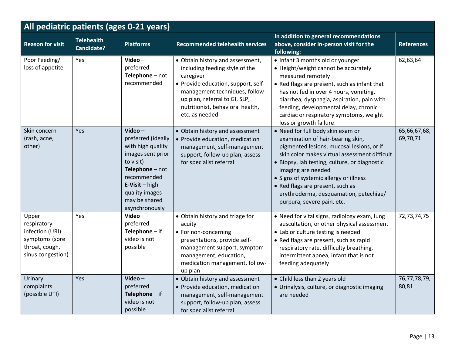| All pediatric patients (ages 0-21 years)                                                         |                                        |                                                                                                                                                                                                |                                                                                                                                                                                                                                                 |                                                                                                                                                                                                                                                                                                                                                                                                   |                          |  |  |
|--------------------------------------------------------------------------------------------------|----------------------------------------|------------------------------------------------------------------------------------------------------------------------------------------------------------------------------------------------|-------------------------------------------------------------------------------------------------------------------------------------------------------------------------------------------------------------------------------------------------|---------------------------------------------------------------------------------------------------------------------------------------------------------------------------------------------------------------------------------------------------------------------------------------------------------------------------------------------------------------------------------------------------|--------------------------|--|--|
| <b>Reason for visit</b>                                                                          | <b>Telehealth</b><br><b>Candidate?</b> | <b>Platforms</b>                                                                                                                                                                               | <b>Recommended telehealth services</b>                                                                                                                                                                                                          | In addition to general recommendations<br>above, consider in-person visit for the<br>following:                                                                                                                                                                                                                                                                                                   | <b>References</b>        |  |  |
| Poor Feeding/<br>loss of appetite                                                                | Yes                                    | Video-<br>preferred<br>Telephone - not<br>recommended                                                                                                                                          | • Obtain history and assessment,<br>including feeding style of the<br>caregiver<br>• Provide education, support, self-<br>management techniques, follow-<br>up plan, referral to GI, SLP,<br>nutritionist, behavioral health,<br>etc. as needed | • Infant 3 months old or younger<br>• Height/weight cannot be accurately<br>measured remotely<br>• Red flags are present, such as infant that<br>has not fed in over 4 hours, vomiting,<br>diarrhea, dysphagia, aspiration, pain with<br>feeding, developmental delay, chronic<br>cardiac or respiratory symptoms, weight<br>loss or growth failure                                               | 62,63,64                 |  |  |
| Skin concern<br>(rash, acne,<br>other)                                                           | Yes                                    | Video-<br>preferred (ideally<br>with high quality<br>images sent prior<br>to visit)<br>Telephone - not<br>recommended<br>$E-Visit - high$<br>quality images<br>may be shared<br>asynchronously | • Obtain history and assessment<br>• Provide education, medication<br>management, self-management<br>support, follow-up plan, assess<br>for specialist referral                                                                                 | • Need for full body skin exam or<br>examination of hair-bearing skin,<br>pigmented lesions, mucosal lesions, or if<br>skin color makes virtual assessment difficult<br>· Biopsy, lab testing, culture, or diagnostic<br>imaging are needed<br>• Signs of systemic allergy or illness<br>• Red flags are present, such as<br>erythroderma, desquamation, petechiae/<br>purpura, severe pain, etc. | 65,66,67,68,<br>69,70,71 |  |  |
| Upper<br>respiratory<br>infection (URI)<br>symptoms (sore<br>throat, cough,<br>sinus congestion) | <b>Yes</b>                             | Video $-$<br>preferred<br>Telephone $-$ if<br>video is not<br>possible                                                                                                                         | • Obtain history and triage for<br>acuity<br>• For non-concerning<br>presentations, provide self-<br>management support, symptom<br>management, education,<br>medication management, follow-<br>up plan                                         | • Need for vital signs, radiology exam, lung<br>auscultation, or other physical assessment<br>• Lab or culture testing is needed<br>• Red flags are present, such as rapid<br>respiratory rate, difficulty breathing,<br>intermittent apnea, infant that is not<br>feeding adequately                                                                                                             | 72,73,74,75              |  |  |
| Urinary<br>complaints<br>(possible UTI)                                                          | Yes                                    | Video $-$<br>preferred<br>Telephone $-$ if<br>video is not<br>possible                                                                                                                         | • Obtain history and assessment<br>• Provide education, medication<br>management, self-management<br>support, follow-up plan, assess<br>for specialist referral                                                                                 | • Child less than 2 years old<br>• Urinalysis, culture, or diagnostic imaging<br>are needed                                                                                                                                                                                                                                                                                                       | 76,77,78,79,<br>80,81    |  |  |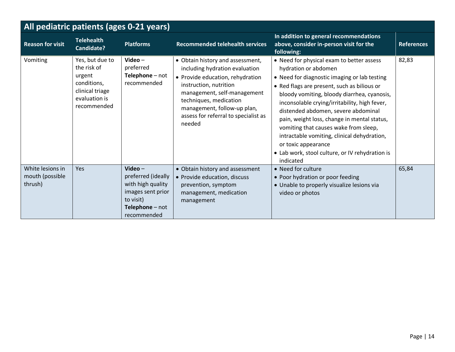| All pediatric patients (ages 0-21 years)       |                                                                                                            |                                                                                                                          |                                                                                                                                                                                                                                                                            |                                                                                                                                                                                                                                                                                                                                                                                                                                                                                                                                       |                   |  |  |
|------------------------------------------------|------------------------------------------------------------------------------------------------------------|--------------------------------------------------------------------------------------------------------------------------|----------------------------------------------------------------------------------------------------------------------------------------------------------------------------------------------------------------------------------------------------------------------------|---------------------------------------------------------------------------------------------------------------------------------------------------------------------------------------------------------------------------------------------------------------------------------------------------------------------------------------------------------------------------------------------------------------------------------------------------------------------------------------------------------------------------------------|-------------------|--|--|
| <b>Reason for visit</b>                        | <b>Telehealth</b><br>Candidate?                                                                            | <b>Platforms</b>                                                                                                         | <b>Recommended telehealth services</b>                                                                                                                                                                                                                                     | In addition to general recommendations<br>above, consider in-person visit for the<br>following:                                                                                                                                                                                                                                                                                                                                                                                                                                       | <b>References</b> |  |  |
| Vomiting                                       | Yes, but due to<br>the risk of<br>urgent<br>conditions,<br>clinical triage<br>evaluation is<br>recommended | Video $-$<br>preferred<br>Telephone - not<br>recommended                                                                 | • Obtain history and assessment,<br>including hydration evaluation<br>• Provide education, rehydration<br>instruction, nutrition<br>management, self-management<br>techniques, medication<br>management, follow-up plan,<br>assess for referral to specialist as<br>needed | • Need for physical exam to better assess<br>hydration or abdomen<br>• Need for diagnostic imaging or lab testing<br>• Red flags are present, such as bilious or<br>bloody vomiting, bloody diarrhea, cyanosis,<br>inconsolable crying/irritability, high fever,<br>distended abdomen, severe abdominal<br>pain, weight loss, change in mental status,<br>vomiting that causes wake from sleep,<br>intractable vomiting, clinical dehydration,<br>or toxic appearance<br>• Lab work, stool culture, or IV rehydration is<br>indicated | 82,83             |  |  |
| White lesions in<br>mouth (possible<br>thrush) | Yes                                                                                                        | Video $-$<br>preferred (ideally<br>with high quality<br>images sent prior<br>to visit)<br>Telephone - not<br>recommended | • Obtain history and assessment<br>• Provide education, discuss<br>prevention, symptom<br>management, medication<br>management                                                                                                                                             | • Need for culture<br>• Poor hydration or poor feeding<br>• Unable to properly visualize lesions via<br>video or photos                                                                                                                                                                                                                                                                                                                                                                                                               | 65,84             |  |  |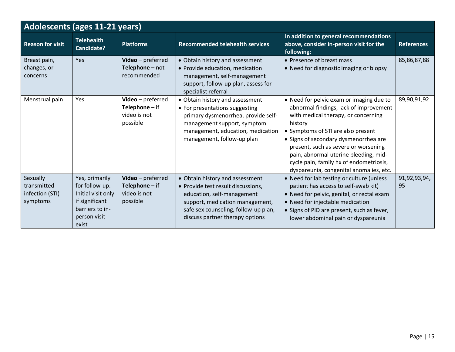| <b>Adolescents (ages 11-21 years)</b>                  |                                                                                                                      |                                                                          |                                                                                                                                                                                                                   |                                                                                                                                                                                                                                                                                                                                                                                            |                    |  |
|--------------------------------------------------------|----------------------------------------------------------------------------------------------------------------------|--------------------------------------------------------------------------|-------------------------------------------------------------------------------------------------------------------------------------------------------------------------------------------------------------------|--------------------------------------------------------------------------------------------------------------------------------------------------------------------------------------------------------------------------------------------------------------------------------------------------------------------------------------------------------------------------------------------|--------------------|--|
| <b>Reason for visit</b>                                | <b>Telehealth</b><br>Candidate?                                                                                      | <b>Platforms</b>                                                         | <b>Recommended telehealth services</b>                                                                                                                                                                            | In addition to general recommendations<br>above, consider in-person visit for the<br>following:                                                                                                                                                                                                                                                                                            | <b>References</b>  |  |
| Breast pain,<br>changes, or<br>concerns                | Yes                                                                                                                  | Video - preferred<br>Telephone - not<br>recommended                      | • Obtain history and assessment<br>• Provide education, medication<br>management, self-management<br>support, follow-up plan, assess for<br>specialist referral                                                   | • Presence of breast mass<br>• Need for diagnostic imaging or biopsy                                                                                                                                                                                                                                                                                                                       | 85,86,87,88        |  |
| Menstrual pain                                         | Yes                                                                                                                  | Video - preferred<br><b>Telephone</b> $-$ if<br>video is not<br>possible | • Obtain history and assessment<br>• For presentations suggesting<br>primary dysmenorrhea, provide self-<br>management support, symptom<br>management, education, medication<br>management, follow-up plan        | • Need for pelvic exam or imaging due to<br>abnormal findings, lack of improvement<br>with medical therapy, or concerning<br>history<br>• Symptoms of STI are also present<br>• Signs of secondary dysmenorrhea are<br>present, such as severe or worsening<br>pain, abnormal uterine bleeding, mid-<br>cycle pain, family hx of endometriosis,<br>dyspareunia, congenital anomalies, etc. | 89,90,91,92        |  |
| Sexually<br>transmitted<br>infection (STI)<br>symptoms | Yes, primarily<br>for follow-up.<br>Initial visit only<br>if significant<br>barriers to in-<br>person visit<br>exist | Video - preferred<br><b>Telephone</b> $-$ if<br>video is not<br>possible | • Obtain history and assessment<br>• Provide test result discussions,<br>education, self-management<br>support, medication management,<br>safe sex counseling, follow-up plan,<br>discuss partner therapy options | • Need for lab testing or culture (unless<br>patient has access to self-swab kit)<br>. Need for pelvic, genital, or rectal exam<br>• Need for injectable medication<br>• Signs of PID are present, such as fever,<br>lower abdominal pain or dyspareunia                                                                                                                                   | 91,92,93,94,<br>95 |  |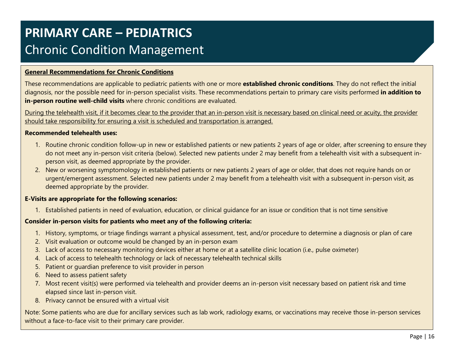# **PRIMARY CARE – PEDIATRICS** Chronic Condition Management

# **General Recommendations for Chronic Conditions**

These recommendations are applicable to pediatric patients with one or more **established chronic conditions**. They do not reflect the initial diagnosis, nor the possible need for in-person specialist visits. These recommendations pertain to primary care visits performed **in addition to in-person routine well-child visits** where chronic conditions are evaluated.

During the telehealth visit, if it becomes clear to the provider that an in-person visit is necessary based on clinical need or acuity, the provider should take responsibility for ensuring a visit is scheduled and transportation is arranged.

#### **Recommended telehealth uses:**

- 1. Routine chronic condition follow-up in new or established patients or new patients 2 years of age or older, after screening to ensure they do not meet any in-person visit criteria (below). Selected new patients under 2 may benefit from a telehealth visit with a subsequent inperson visit, as deemed appropriate by the provider.
- 2. New or worsening symptomology in established patients or new patients 2 years of age or older, that does not require hands on or urgent/emergent assessment. Selected new patients under 2 may benefit from a telehealth visit with a subsequent in-person visit, as deemed appropriate by the provider.

### **E-Visits are appropriate for the following scenarios:**

1. Established patients in need of evaluation, education, or clinical guidance for an issue or condition that is not time sensitive

# **Consider in-person visits for patients who meet any of the following criteria:**

- 1. History, symptoms, or triage findings warrant a physical assessment, test, and/or procedure to determine a diagnosis or plan of care
- 2. Visit evaluation or outcome would be changed by an in-person exam
- 3. Lack of access to necessary monitoring devices either at home or at a satellite clinic location (i.e., pulse oximeter)
- 4. Lack of access to telehealth technology or lack of necessary telehealth technical skills
- 5. Patient or guardian preference to visit provider in person
- 6. Need to assess patient safety
- 7. Most recent visit(s) were performed via telehealth and provider deems an in-person visit necessary based on patient risk and time elapsed since last in-person visit.
- 8. Privacy cannot be ensured with a virtual visit

Note: Some patients who are due for ancillary services such as lab work, radiology exams, or vaccinations may receive those in-person services without a face-to-face visit to their primary care provider.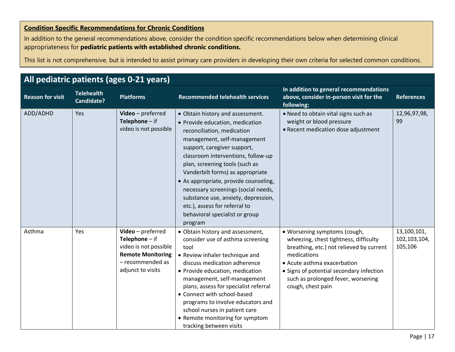# **Condition Specific Recommendations for Chronic Conditions**

In addition to the general recommendations above, consider the condition specific recommendations below when determining clinical appropriateness for **pediatric patients with established chronic conditions.**

| All pediatric patients (ages 0-21 years) |                                        |                                                                                                                                     |                                                                                                                                                                                                                                                                                                                                                                                                                                                                                  |                                                                                                                                                                                                                                                                        |                                        |  |  |
|------------------------------------------|----------------------------------------|-------------------------------------------------------------------------------------------------------------------------------------|----------------------------------------------------------------------------------------------------------------------------------------------------------------------------------------------------------------------------------------------------------------------------------------------------------------------------------------------------------------------------------------------------------------------------------------------------------------------------------|------------------------------------------------------------------------------------------------------------------------------------------------------------------------------------------------------------------------------------------------------------------------|----------------------------------------|--|--|
| <b>Reason for visit</b>                  | <b>Telehealth</b><br><b>Candidate?</b> | <b>Platforms</b>                                                                                                                    | <b>Recommended telehealth services</b>                                                                                                                                                                                                                                                                                                                                                                                                                                           | In addition to general recommendations<br>above, consider in-person visit for the<br>following:                                                                                                                                                                        | <b>References</b>                      |  |  |
| ADD/ADHD                                 | Yes                                    | Video-preferred<br>Telephone $-$ if<br>video is not possible                                                                        | • Obtain history and assessment.<br>• Provide education, medication<br>reconciliation, medication<br>management, self-management<br>support, caregiver support,<br>classroom interventions, follow-up<br>plan, screening tools (such as<br>Vanderbilt forms) as appropriate<br>• As appropriate, provide counseling,<br>necessary screenings (social needs,<br>substance use, anxiety, depression,<br>etc.), assess for referral to<br>behavioral specialist or group<br>program | . Need to obtain vital signs such as<br>weight or blood pressure<br>• Recent medication dose adjustment                                                                                                                                                                | 12,96,97,98,<br>99                     |  |  |
| Asthma                                   | Yes                                    | Video - preferred<br>Telephone $-$ if<br>video is not possible<br><b>Remote Monitoring</b><br>- recommended as<br>adjunct to visits | • Obtain history and assessment,<br>consider use of asthma screening<br>tool<br>• Review inhaler technique and<br>discuss medication adherence<br>• Provide education, medication<br>management, self-management<br>plans, assess for specialist referral<br>• Connect with school-based<br>programs to involve educators and<br>school nurses in patient care<br>• Remote monitoring for symptom<br>tracking between visits                                                     | · Worsening symptoms (cough,<br>wheezing, chest tightness, difficulty<br>breathing, etc.) not relieved by current<br>medications<br>• Acute asthma exacerbation<br>• Signs of potential secondary infection<br>such as prolonged fever, worsening<br>cough, chest pain | 13,100,101,<br>102,103,104,<br>105,106 |  |  |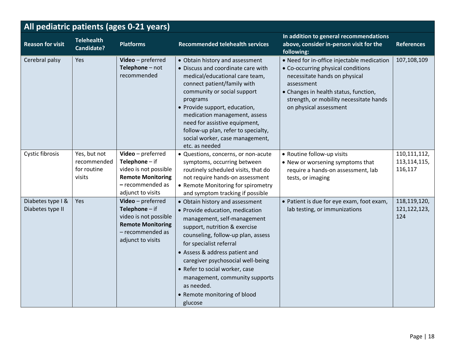| All pediatric patients (ages 0-21 years) |                                                      |                                                                                                                                     |                                                                                                                                                                                                                                                                                                                                                                                                         |                                                                                                                                                                                                                                               |                                             |  |
|------------------------------------------|------------------------------------------------------|-------------------------------------------------------------------------------------------------------------------------------------|---------------------------------------------------------------------------------------------------------------------------------------------------------------------------------------------------------------------------------------------------------------------------------------------------------------------------------------------------------------------------------------------------------|-----------------------------------------------------------------------------------------------------------------------------------------------------------------------------------------------------------------------------------------------|---------------------------------------------|--|
| <b>Reason for visit</b>                  | <b>Telehealth</b><br><b>Candidate?</b>               | <b>Platforms</b>                                                                                                                    | <b>Recommended telehealth services</b>                                                                                                                                                                                                                                                                                                                                                                  | In addition to general recommendations<br>above, consider in-person visit for the<br>following:                                                                                                                                               | <b>References</b>                           |  |
| Cerebral palsy                           | Yes                                                  | Video - preferred<br>Telephone - not<br>recommended                                                                                 | • Obtain history and assessment<br>• Discuss and coordinate care with<br>medical/educational care team,<br>connect patient/family with<br>community or social support<br>programs<br>• Provide support, education,<br>medication management, assess<br>need for assistive equipment,<br>follow-up plan, refer to specialty,<br>social worker, case management,<br>etc. as needed                        | • Need for in-office injectable medication<br>• Co-occurring physical conditions<br>necessitate hands on physical<br>assessment<br>• Changes in health status, function,<br>strength, or mobility necessitate hands<br>on physical assessment | 107,108,109                                 |  |
| Cystic fibrosis                          | Yes, but not<br>recommended<br>for routine<br>visits | $Video-preferred$<br>Telephone $-$ if<br>video is not possible<br><b>Remote Monitoring</b><br>- recommended as<br>adjunct to visits | · Questions, concerns, or non-acute<br>symptoms, occurring between<br>routinely scheduled visits, that do<br>not require hands-on assessment<br>• Remote Monitoring for spirometry<br>and symptom tracking if possible                                                                                                                                                                                  | • Routine follow-up visits<br>• New or worsening symptoms that<br>require a hands-on assessment, lab<br>tests, or imaging                                                                                                                     | 110, 111, 112,<br>113, 114, 115,<br>116,117 |  |
| Diabetes type I &<br>Diabetes type II    | Yes                                                  | $Video-preferred$<br>Telephone $-$ if<br>video is not possible<br><b>Remote Monitoring</b><br>- recommended as<br>adjunct to visits | • Obtain history and assessment<br>• Provide education, medication<br>management, self-management<br>support, nutrition & exercise<br>counseling, follow-up plan, assess<br>for specialist referral<br>• Assess & address patient and<br>caregiver psychosocial well-being<br>• Refer to social worker, case<br>management, community supports<br>as needed.<br>• Remote monitoring of blood<br>glucose | • Patient is due for eye exam, foot exam,<br>lab testing, or immunizations                                                                                                                                                                    | 118,119,120,<br>121, 122, 123,<br>124       |  |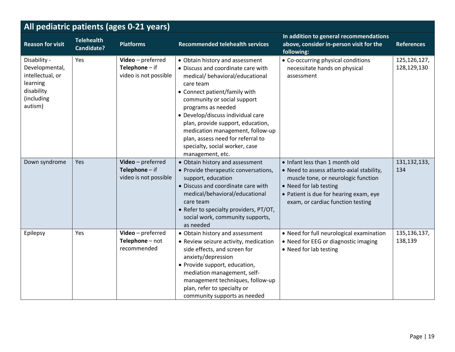| All pediatric patients (ages 0-21 years)                                                              |                                        |                                                                |                                                                                                                                                                                                                                                                                                                                                                                                                      |                                                                                                                                                                                                                             |                               |  |
|-------------------------------------------------------------------------------------------------------|----------------------------------------|----------------------------------------------------------------|----------------------------------------------------------------------------------------------------------------------------------------------------------------------------------------------------------------------------------------------------------------------------------------------------------------------------------------------------------------------------------------------------------------------|-----------------------------------------------------------------------------------------------------------------------------------------------------------------------------------------------------------------------------|-------------------------------|--|
| <b>Reason for visit</b>                                                                               | <b>Telehealth</b><br><b>Candidate?</b> | <b>Platforms</b>                                               | <b>Recommended telehealth services</b>                                                                                                                                                                                                                                                                                                                                                                               | In addition to general recommendations<br>above, consider in-person visit for the<br>following:                                                                                                                             | <b>References</b>             |  |
| Disability -<br>Developmental,<br>intellectual, or<br>learning<br>disability<br>(including<br>autism) | Yes                                    | Video - preferred<br>Telephone $-$ if<br>video is not possible | • Obtain history and assessment<br>• Discuss and coordinate care with<br>medical/ behavioral/educational<br>care team<br>• Connect patient/family with<br>community or social support<br>programs as needed<br>· Develop/discuss individual care<br>plan, provide support, education,<br>medication management, follow-up<br>plan, assess need for referral to<br>specialty, social worker, case<br>management, etc. | • Co-occurring physical conditions<br>necessitate hands on physical<br>assessment                                                                                                                                           | 125, 126, 127,<br>128,129,130 |  |
| Down syndrome                                                                                         | Yes                                    | Video - preferred<br>Telephone $-$ if<br>video is not possible | • Obtain history and assessment<br>• Provide therapeutic conversations,<br>support, education<br>• Discuss and coordinate care with<br>medical/behavioral/educational<br>care team<br>• Refer to specialty providers, PT/OT,<br>social work, community supports,<br>as needed                                                                                                                                        | . Infant less than 1 month old<br>• Need to assess atlanto-axial stability,<br>muscle tone, or neurologic function<br>• Need for lab testing<br>• Patient is due for hearing exam, eye<br>exam, or cardiac function testing | 131, 132, 133,<br>134         |  |
| Epilepsy                                                                                              | Yes                                    | Video - preferred<br>Telephone - not<br>recommended            | • Obtain history and assessment<br>• Review seizure activity, medication<br>side effects, and screen for<br>anxiety/depression<br>• Provide support, education,<br>mediation management, self-<br>management techniques, follow-up<br>plan, refer to specialty or<br>community supports as needed                                                                                                                    | • Need for full neurological examination<br>• Need for EEG or diagnostic imaging<br>• Need for lab testing                                                                                                                  | 135, 136, 137,<br>138,139     |  |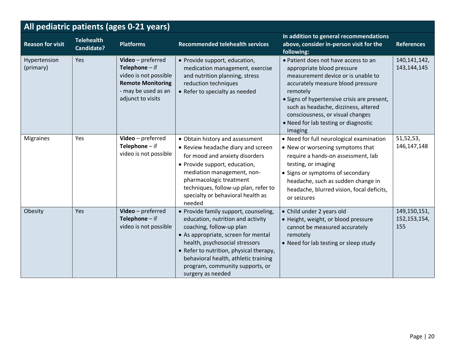| All pediatric patients (ages 0-21 years) |                                        |                                                                                                                                        |                                                                                                                                                                                                                                                                                                                            |                                                                                                                                                                                                                                                                                                                                         |                                         |  |  |  |
|------------------------------------------|----------------------------------------|----------------------------------------------------------------------------------------------------------------------------------------|----------------------------------------------------------------------------------------------------------------------------------------------------------------------------------------------------------------------------------------------------------------------------------------------------------------------------|-----------------------------------------------------------------------------------------------------------------------------------------------------------------------------------------------------------------------------------------------------------------------------------------------------------------------------------------|-----------------------------------------|--|--|--|
| <b>Reason for visit</b>                  | <b>Telehealth</b><br><b>Candidate?</b> | <b>Platforms</b>                                                                                                                       | <b>Recommended telehealth services</b>                                                                                                                                                                                                                                                                                     | In addition to general recommendations<br>above, consider in-person visit for the<br>following:                                                                                                                                                                                                                                         | <b>References</b>                       |  |  |  |
| Hypertension<br>(primary)                | Yes                                    | Video - preferred<br>Telephone $-$ if<br>video is not possible<br><b>Remote Monitoring</b><br>- may be used as an<br>adjunct to visits | • Provide support, education,<br>medication management, exercise<br>and nutrition planning, stress<br>reduction techniques<br>• Refer to specialty as needed                                                                                                                                                               | • Patient does not have access to an<br>appropriate blood pressure<br>measurement device or is unable to<br>accurately measure blood pressure<br>remotely<br>• Signs of hypertensive crisis are present,<br>such as headache, dizziness, altered<br>consciousness, or visual changes<br>• Need for lab testing or diagnostic<br>imaging | 140, 141, 142,<br>143, 144, 145         |  |  |  |
| <b>Migraines</b>                         | Yes                                    | Video - preferred<br>Telephone $-$ if<br>video is not possible                                                                         | • Obtain history and assessment<br>• Review headache diary and screen<br>for mood and anxiety disorders<br>• Provide support, education,<br>mediation management, non-<br>pharmacologic treatment<br>techniques, follow-up plan, refer to<br>specialty or behavioral health as<br>needed                                   | • Need for full neurological examination<br>• New or worsening symptoms that<br>require a hands-on assessment, lab<br>testing, or imaging<br>• Signs or symptoms of secondary<br>headache, such as sudden change in<br>headache, blurred vision, focal deficits,<br>or seizures                                                         | 51, 52, 53,<br>146, 147, 148            |  |  |  |
| Obesity                                  | Yes                                    | Video - preferred<br>Telephone $-$ if<br>video is not possible                                                                         | • Provide family support, counseling,<br>education, nutrition and activity<br>coaching, follow-up plan<br>• As appropriate, screen for mental<br>health, psychosocial stressors<br>• Refer to nutrition, physical therapy,<br>behavioral health, athletic training<br>program, community supports, or<br>surgery as needed | • Child under 2 years old<br>· Height, weight, or blood pressure<br>cannot be measured accurately<br>remotely<br>• Need for lab testing or sleep study                                                                                                                                                                                  | 149, 150, 151,<br>152, 153, 154,<br>155 |  |  |  |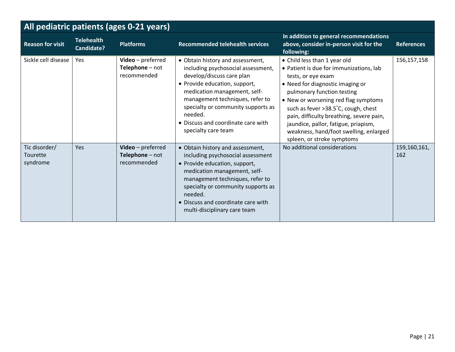| All pediatric patients (ages 0-21 years) |                                 |                                                     |                                                                                                                                                                                                                                                                                                                       |                                                                                                                                                                                                                                                                                                                                                                                                            |                     |  |  |  |
|------------------------------------------|---------------------------------|-----------------------------------------------------|-----------------------------------------------------------------------------------------------------------------------------------------------------------------------------------------------------------------------------------------------------------------------------------------------------------------------|------------------------------------------------------------------------------------------------------------------------------------------------------------------------------------------------------------------------------------------------------------------------------------------------------------------------------------------------------------------------------------------------------------|---------------------|--|--|--|
| <b>Reason for visit</b>                  | <b>Telehealth</b><br>Candidate? | <b>Platforms</b>                                    | <b>Recommended telehealth services</b>                                                                                                                                                                                                                                                                                | In addition to general recommendations<br>above, consider in-person visit for the<br>following:                                                                                                                                                                                                                                                                                                            | <b>References</b>   |  |  |  |
| Sickle cell disease                      | Yes                             | Video - preferred<br>Telephone - not<br>recommended | • Obtain history and assessment,<br>including psychosocial assessment,<br>develop/discuss care plan<br>• Provide education, support,<br>medication management, self-<br>management techniques, refer to<br>specialty or community supports as<br>needed.<br>• Discuss and coordinate care with<br>specialty care team | • Child less than 1 year old<br>• Patient is due for immunizations, lab<br>tests, or eye exam<br>• Need for diagnostic imaging or<br>pulmonary function testing<br>• New or worsening red flag symptoms<br>such as fever >38.5°C, cough, chest<br>pain, difficulty breathing, severe pain,<br>jaundice, pallor, fatigue, priapism,<br>weakness, hand/foot swelling, enlarged<br>spleen, or stroke symptoms | 156, 157, 158       |  |  |  |
| Tic disorder/<br>Tourette<br>syndrome    | Yes                             | Video-preferred<br>Telephone - not<br>recommended   | • Obtain history and assessment,<br>including psychosocial assessment<br>• Provide education, support,<br>medication management, self-<br>management techniques, refer to<br>specialty or community supports as<br>needed.<br>• Discuss and coordinate care with<br>multi-disciplinary care team                      | No additional considerations                                                                                                                                                                                                                                                                                                                                                                               | 159,160,161,<br>162 |  |  |  |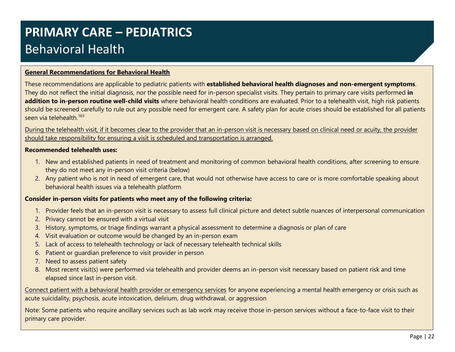# **PRIMARY CARE – PEDIATRICS** Behavioral Health

# **General Recommendations for Behavioral Health**

These recommendations are applicable to pediatric patients with **established behavioral health diagnoses and non-emergent symptoms**. They do not reflect the initial diagnosis, nor the possible need for in-person specialist visits. They pertain to primary care visits performed **in addition to in-person routine well-child visits** where behavioral health conditions are evaluated. Prior to a telehealth visit, high risk patients should be screened carefully to rule out any possible need for emergent care. A safety plan for acute crises should be established for all patients seen via telehealth.<sup>163</sup>

During the telehealth visit, if it becomes clear to the provider that an in-person visit is necessary based on clinical need or acuity, the provider should take responsibility for ensuring a visit is scheduled and transportation is arranged.

#### **Recommended telehealth uses:**

- 1. New and established patients in need of treatment and monitoring of common behavioral health conditions, after screening to ensure they do not meet any in-person visit criteria (below)
- 2. Any patient who is not in need of emergent care, that would not otherwise have access to care or is more comfortable speaking about behavioral health issues via a telehealth platform

### **Consider in-person visits for patients who meet any of the following criteria:**

- 1. Provider feels that an in-person visit is necessary to assess full clinical picture and detect subtle nuances of interpersonal communication
- 2. Privacy cannot be ensured with a virtual visit
- 3. History, symptoms, or triage findings warrant a physical assessment to determine a diagnosis or plan of care
- 4. Visit evaluation or outcome would be changed by an in-person exam
- 5. Lack of access to telehealth technology or lack of necessary telehealth technical skills
- 6. Patient or guardian preference to visit provider in person
- 7. Need to assess patient safety
- 8. Most recent visit(s) were performed via telehealth and provider deems an in-person visit necessary based on patient risk and time elapsed since last in-person visit.

Connect patient with a behavioral health provider or emergency services for anyone experiencing a mental health emergency or crisis such as acute suicidality, psychosis, acute intoxication, delirium, drug withdrawal, or aggression

Note: Some patients who require ancillary services such as lab work may receive those in-person services without a face-to-face visit to their primary care provider.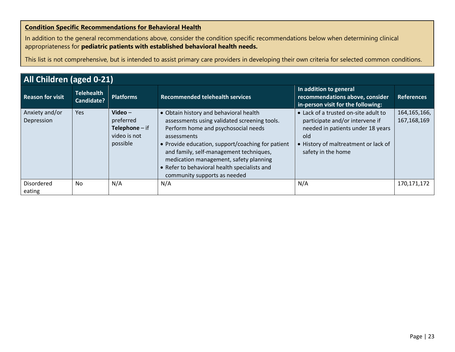# **Condition Specific Recommendations for Behavioral Health**

In addition to the general recommendations above, consider the condition specific recommendations below when determining clinical appropriateness for **pediatric patients with established behavioral health needs.**

| All Children (aged 0-21)     |                                        |                                                                               |                                                                                                                                                                                                                                                                                                                                                                        |                                                                                                                                                                                   |                                 |  |  |  |
|------------------------------|----------------------------------------|-------------------------------------------------------------------------------|------------------------------------------------------------------------------------------------------------------------------------------------------------------------------------------------------------------------------------------------------------------------------------------------------------------------------------------------------------------------|-----------------------------------------------------------------------------------------------------------------------------------------------------------------------------------|---------------------------------|--|--|--|
| <b>Reason for visit</b>      | <b>Telehealth</b><br><b>Candidate?</b> | <b>Platforms</b>                                                              | <b>Recommended telehealth services</b>                                                                                                                                                                                                                                                                                                                                 | In addition to general<br>recommendations above, consider<br>in-person visit for the following:                                                                                   | <b>References</b>               |  |  |  |
| Anxiety and/or<br>Depression | Yes                                    | Video $-$<br>preferred<br><b>Telephone</b> $-$ if<br>video is not<br>possible | • Obtain history and behavioral health<br>assessments using validated screening tools.<br>Perform home and psychosocial needs<br>assessments<br>• Provide education, support/coaching for patient<br>and family, self-management techniques,<br>medication management, safety planning<br>• Refer to behavioral health specialists and<br>community supports as needed | • Lack of a trusted on-site adult to<br>participate and/or intervene if<br>needed in patients under 18 years<br>old<br>• History of maltreatment or lack of<br>safety in the home | 164, 165, 166,<br>167, 168, 169 |  |  |  |
| Disordered<br>eating         | No                                     | N/A                                                                           | N/A                                                                                                                                                                                                                                                                                                                                                                    | N/A                                                                                                                                                                               | 170,171,172                     |  |  |  |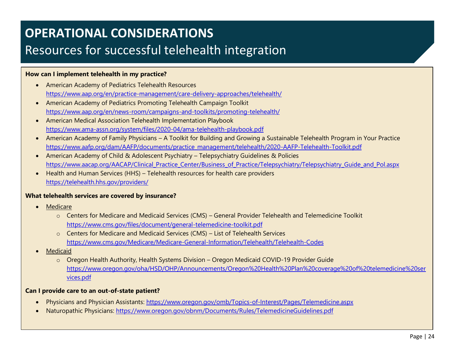# **OPERATIONAL CONSIDERATIONS** Resources for successful telehealth integration

# **How can I implement telehealth in my practice?**

- American Academy of Pediatrics Telehealth Resources <https://www.aap.org/en/practice-management/care-delivery-approaches/telehealth/>
- American Academy of Pediatrics Promoting Telehealth Campaign Toolkit <https://www.aap.org/en/news-room/campaigns-and-toolkits/promoting-telehealth/>
- American Medical Association Telehealth Implementation Playbook <https://www.ama-assn.org/system/files/2020-04/ama-telehealth-playbook.pdf>
- American Academy of Family Physicians A Toolkit for Building and Growing a Sustainable Telehealth Program in Your Practice [https://www.aafp.org/dam/AAFP/documents/practice\\_management/telehealth/2020-AAFP-Telehealth-Toolkit.pdf](https://www.aafp.org/dam/AAFP/documents/practice_management/telehealth/2020-AAFP-Telehealth-Toolkit.pdf)
- American Academy of Child & Adolescent Psychiatry Telepsychiatry Guidelines & Policies https://www.aacap.org/AACAP/Clinical Practice Center/Business of Practice/Telepsychiatry/Telepsychiatry Guide and Pol.aspx
- Health and Human Services (HHS) Telehealth resources for health care providers <https://telehealth.hhs.gov/providers/>

### **What telehealth services are covered by insurance?**

- **Medicare** 
	- o Centers for Medicare and Medicaid Services (CMS) General Provider Telehealth and Telemedicine Toolkit <https://www.cms.gov/files/document/general-telemedicine-toolkit.pdf>
	- o Centers for Medicare and Medicaid Services (CMS) List of Telehealth Services <https://www.cms.gov/Medicare/Medicare-General-Information/Telehealth/Telehealth-Codes>
- **Medicaid** 
	- o Oregon Health Authority, Health Systems Division Oregon Medicaid COVID-19 Provider Guide [https://www.oregon.gov/oha/HSD/OHP/Announcements/Oregon%20Health%20Plan%20coverage%20of%20telemedicine%20ser](https://www.oregon.gov/oha/HSD/OHP/Announcements/Oregon%20Health%20Plan%20coverage%20of%20telemedicine%20services.pdf) [vices.pdf](https://www.oregon.gov/oha/HSD/OHP/Announcements/Oregon%20Health%20Plan%20coverage%20of%20telemedicine%20services.pdf)

# **Can I provide care to an out-of-state patient?**

- Physicians and Physician Assistants:<https://www.oregon.gov/omb/Topics-of-Interest/Pages/Telemedicine.aspx>
- Naturopathic Physicians:<https://www.oregon.gov/obnm/Documents/Rules/TelemedicineGuidelines.pdf>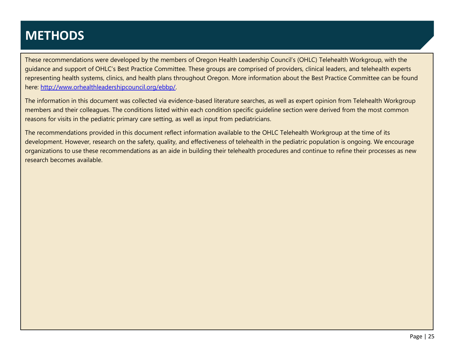# **METHODS**

These recommendations were developed by the members of Oregon Health Leadership Council's (OHLC) Telehealth Workgroup, with the guidance and support of OHLC's Best Practice Committee. These groups are comprised of providers, clinical leaders, and telehealth experts representing health systems, clinics, and health plans throughout Oregon. More information about the Best Practice Committee can be found here: [http://www.orhealthleadershipcouncil.org/ebbp/.](http://www.orhealthleadershipcouncil.org/ebbp/)

The information in this document was collected via evidence-based literature searches, as well as expert opinion from Telehealth Workgroup members and their colleagues. The conditions listed within each condition specific guideline section were derived from the most common reasons for visits in the pediatric primary care setting, as well as input from pediatricians.

The recommendations provided in this document reflect information available to the OHLC Telehealth Workgroup at the time of its development. However, research on the safety, quality, and effectiveness of telehealth in the pediatric population is ongoing. We encourage organizations to use these recommendations as an aide in building their telehealth procedures and continue to refine their processes as new research becomes available.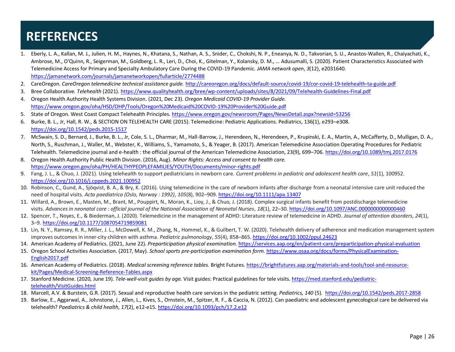# **REFERENCES**

- 1. Eberly, L. A., Kallan, M. J., Julien, H. M., Haynes, N., Khatana, S., Nathan, A. S., Snider, C., Chokshi, N. P., Eneanya, N. D., Takvorian, S. U., Anastos-Wallen, R., Chaiyachati, K., Ambrose, M., O'Quinn, R., Seigerman, M., Goldberg, L. R., Leri, D., Choi, K., Gitelman, Y., Kolansky, D. M., … Adusumalli, S. (2020). Patient Characteristics Associated with Telemedicine Access for Primary and Specialty Ambulatory Care During the COVID-19 Pandemic. *JAMA network open*, *3*(12), e2031640. <https://jamanetwork.com/journals/jamanetworkopen/fullarticle/2774488>
- 2. CareOregon. *CareOregon telemedicine technical assistance guide.* <http://careoregon.org/docs/default-source/covid-19/cor-covid-19-telehealth-ta-guide.pdf>
- 3. Bree Collaborative. *Telehealth* (2021).<https://www.qualityhealth.org/bree/wp-content/uploads/sites/8/2021/09/Telehealth-Guidelines-Final.pdf>
- 4. Oregon Health Authority Health Systems Division. (2021, Dec 23). *Oregon Medicaid COVID-19 Provider Guide.*  <https://www.oregon.gov/oha/HSD/OHP/Tools/Oregon%20Medicaid%20COVID-19%20Provider%20Guide.pdf>
- 5. State of Oregon. West Coast Compact Telehealth Principles.<https://www.oregon.gov/newsroom/Pages/NewsDetail.aspx?newsid=53256>
- 6. Burke, B. L., Jr, Hall, R. W., & SECTION ON TELEHEALTH CARE (2015). Telemedicine: Pediatric Applications. Pediatrics, 136(1), e293–e308. <https://doi.org/10.1542/peds.2015-1517>
- 7. McSwain, S. D., Bernard, J., Burke, B. L., Jr, Cole, S. L., Dharmar, M., Hall-Barrow, J., Herendeen, N., Herendeen, P., Krupinski, E. A., Martin, A., McCafferty, D., Mulligan, D. A., North, S., Ruschman, J., Waller, M., Webster, K., Williams, S., Yamamoto, S., & Yeager, B. (2017). American Telemedicine Association Operating Procedures for Pediatric Telehealth. Telemedicine journal and e-health : the official journal of the American Telemedicine Association, 23(9), 699–706.<https://doi.org/10.1089/tmj.2017.0176>
- 8. Oregon Health Authority Public Health Division. (2016, Aug). *Minor Rights: Access and consent to health care.* <https://www.oregon.gov/oha/PH/HEALTHYPEOPLEFAMILIES/YOUTH/Documents/minor-rights.pdf>
- 9. Fang, J. L., & Chuo, J. (2021). Using telehealth to support pediatricians in newborn care. *Current problems in pediatric and adolescent health care*, *51*(1), 100952. <https://doi.org/10.1016/j.cppeds.2021.100952>
- 10. Robinson, C., Gund, A., Sjöqvist, B. A., & Bry, K. (2016). Using telemedicine in the care of newborn infants after discharge from a neonatal intensive care unit reduced the need of hospital visits. *Acta paediatrica (Oslo, Norway : 1992)*, *105*(8), 902–909[. https://doi.org/10.1111/apa.13407](https://doi.org/10.1111/apa.13407)
- 11. Willard, A., Brown, E., Masten, M., Brant, M., Pouppirt, N., Moran, K., Lioy, J., & Chuo, J. (2018). Complex surgical infants benefit from postdischarge telemedicine visits. *Advances in neonatal care : official journal of the National Association of Neonatal Nurses*, *18*(1), 22–30[. https://doi.org/10.1097/ANC.0000000000000460](https://doi.org/10.1097/ANC.0000000000000460)
- 12. Spencer, T., Noyes, E., & Biederman, J. (2020). Telemedicine in the management of ADHD: Literature review of telemedicine in ADHD. *Journal of attention disorders*, *24*(1), 3–9.<https://doi.org/10.1177/1087054719859081>
- 13. Lin, N. Y., Ramsey, R. R., Miller, J. L., McDowell, K. M., Zhang, N., Hommel, K., & Guilbert, T. W. (2020). Telehealth delivery of adherence and medication management system improves outcomes in inner-city children with asthma. *Pediatric pulmonology*, *55*(4), 858–865[. https://doi.org/10.1002/ppul.24623](https://doi.org/10.1002/ppul.24623)
- 14. American Academy of Pediatrics. (2021, June 22). *Preparticipation physical examination.* <https://services.aap.org/en/patient-care/preparticipation-physical-evaluation>
- 15. Oregon School Activities Association. (2017, May). *School sports pre-participation examination form.* [https://www.osaa.org/docs/forms/PhysicalExamination-](https://www.osaa.org/docs/forms/PhysicalExamination-English2017.pdf)[English2017.pdf](https://www.osaa.org/docs/forms/PhysicalExamination-English2017.pdf)
- 16. American Academy of Pediatrics. (2018). *Medical screening reference tables.* Bright Futures. [https://brightfutures.aap.org/materials-and-tools/tool-and-resource](https://brightfutures.aap.org/materials-and-tools/tool-and-resource-kit/Pages/Medical-Screening-Reference-Tables.aspx)[kit/Pages/Medical-Screening-Reference-Tables.aspx](https://brightfutures.aap.org/materials-and-tools/tool-and-resource-kit/Pages/Medical-Screening-Reference-Tables.aspx)
- 17. Stanford Medicine. (2020, June 19). *Tele-well-visit guides by age.* Visit guides: Practical guidelines for tele visits[. https://med.stanford.edu/pediatric](https://med.stanford.edu/pediatric-telehealth/VisitGuides.html)[telehealth/VisitGuides.html](https://med.stanford.edu/pediatric-telehealth/VisitGuides.html)
- 18. Marcell, A.V. & Burstein, G.R. (2017). Sexual and reproductive health care services in the pediatric setting. *Pediatrics, 140* (5). <https://doi.org/10.1542/peds.2017-2858>
- 19. Barlow, E., Aggarwal, A., Johnstone, J., Allen, L., Kives, S., Ornstein, M., Spitzer, R. F., & Caccia, N. (2012). Can paediatric and adolescent gynecological care be delivered via telehealth? *Paediatrics & child health*, *17*(2), e12-e15. <https://doi.org/10.1093/pch/17.2.e12>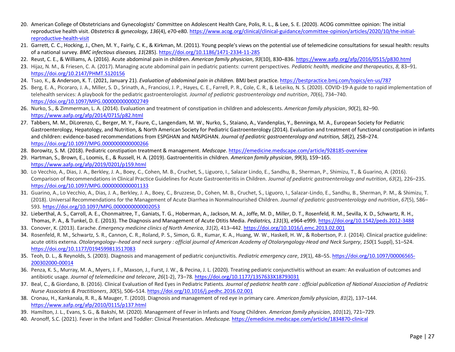- 20. American College of Obstetricians and Gynecologists' Committee on Adolescent Health Care, Polis, R. L., & Lee, S. E. (2020). ACOG committee opinion: The initial reproductive health visit. *Obstetrics & gynecology, 136*(4), e70-e80. [https://www.acog.org/clinical/clinical-guidance/committee-opinion/articles/2020/10/the-initial](https://www.acog.org/clinical/clinical-guidance/committee-opinion/articles/2020/10/the-initial-reproductive-health-visit)[reproductive-health-visit](https://www.acog.org/clinical/clinical-guidance/committee-opinion/articles/2020/10/the-initial-reproductive-health-visit)
- 21. Garrett, C. C., Hocking, J., Chen, M. Y., Fairly, C. K., & Kirkman, M. (2011). Young people's views on the potential use of telemedicine consultations for sexual health: results of a national survey. *BMC infectious diseases, 11*(285)[. https://doi.org/10.1186/1471-2334-11-285](https://doi.org/10.1186/1471-2334-11-285)
- 22. Reust, C. E., & Williams, A. (2016). Acute abdominal pain in children. *American family physician*, *93*(10), 830–836[. https://www.aafp.org/afp/2016/0515/p830.html](https://www.aafp.org/afp/2016/0515/p830.html)
- 23. Hijaz, N. M., & Friesen, C. A. (2017). Managing acute abdominal pain in pediatric patients: current perspectives. *Pediatric health, medicine and therapeutics*, *8*, 83–91. <https://doi.org/10.2147/PHMT.S120156>
- 24. Tsao, K., & Anderson, K. T. (2021, January 21). *Evaluation of abdominal pain in children.* BMJ best practice. <https://bestpractice.bmj.com/topics/en-us/787>
- 25. Berg, E. A., Picoraro, J. A., Miller, S. D., Srinath, A., Franciosi, J. P., Hayes, C. E., Farrell, P. R., Cole, C. R., & LeLeiko, N. S. (2020). COVID-19-A guide to rapid implementation of telehealth services: A playbook for the pediatric gastroenterologist. *Journal of pediatric gastroenterology and nutrition*, *70*(6), 734–740. <https://doi.org/10.1097/MPG.0000000000002749>
- 26. Nurko, S., & Zimmerman, L. A. (2014). Evaluation and treatment of constipation in children and adolescents. *American family physician*, *90*(2), 82–90. <https://www.aafp.org/afp/2014/0715/p82.html>
- 27. Tabbers, M. M., DiLorenzo, C., Berger, M. Y., Faure, C., Langendam, M. W., Nurko, S., Staiano, A., Vandenplas, Y., Benninga, M. A., European Society for Pediatric Gastroenterology, Hepatology, and Nutrition, & North American Society for Pediatric Gastroenterology (2014). Evaluation and treatment of functional constipation in infants and children: evidence-based recommendations from ESPGHAN and NASPGHAN. *Journal of pediatric gastroenterology and nutrition, 58*(2), 258–274. <https://doi.org/10.1097/MPG.0000000000000266>
- 28. Borowitz, S. M. (2018). Pediatric constipation treatment & management. *Medscape*.<https://emedicine.medscape.com/article/928185-overview>
- 29. Hartman, S., Brown, E., Loomis, E., & Russell, H. A. (2019). Gastroenteritis in children. *American family physician*, *99*(3), 159–165. <https://www.aafp.org/afp/2019/0201/p159.html>
- 30. Lo Vecchio, A., Dias, J. A., Berkley, J. A., Boey, C., Cohen, M. B., Cruchet, S., Liguoro, I., Salazar Lindo, E., Sandhu, B., Sherman, P., Shimizu, T., & Guarino, A. (2016). Comparison of Recommendations in Clinical Practice Guidelines for Acute Gastroenteritis in Children. *Journal of pediatric gastroenterology and nutrition*, *63*(2), 226–235. <https://doi.org/10.1097/MPG.0000000000001133>
- 31. Guarino, A., Lo Vecchio, A., Dias, J. A., Berkley, J. A., Boey, C., Bruzzese, D., Cohen, M. B., Cruchet, S., Liguoro, I., Salazar-Lindo, E., Sandhu, B., Sherman, P. M., & Shimizu, T. (2018). Universal Recommendations for the Management of Acute Diarrhea in Nonmalnourished Children. *Journal of pediatric gastroenterology and nutrition*, *67*(5), 586– 593.<https://doi.org/10.1097/MPG.0000000000002053>
- 32. Lieberthal, A. S., Carroll, A. E., Chonmaitree, T., Ganiats, T. G., Hoberman, A., Jackson, M. A., Joffe, M. D., Miller, D. T., Rosenfeld, R. M., Sevilla, X. D., Schwartz, R. H., Thomas, P. A., & Tunkel, D. E. (2013). The Diagnosis and Management of Acute Otitis Media. *Pediatrics, 131*(3), e964-e999.<https://doi.org/10.1542/peds.2012-3488>
- 33. Conover, K. (2013). Earache. *Emergency medicine clinics of North America*, *31*(2), 413–442.<https://doi.org/10.1016/j.emc.2013.02.001>
- 34. Rosenfeld, R. M., Schwartz, S. R., Cannon, C. R., Roland, P. S., Simon, G. R., Kumar, K. A., Huang, W. W., Haskell, H. W., & Robertson, P. J. (2014). Clinical practice guideline: acute otitis externa. *Otolaryngology--head and neck surgery : official journal of American Academy of Otolaryngology-Head and Neck Surgery*, *150*(1 Suppl), S1–S24. <https://doi.org/10.1177/0194599813517083>
- 35. Teoh, D. L., & Reynolds, S. (2003). Diagnosis and management of pediatric conjunctivitis. *Pediatric emergency care*, *19*(1), 48–55[. https://doi.org/10.1097/00006565-](https://doi.org/10.1097/00006565-200302000-00014) [200302000-00014](https://doi.org/10.1097/00006565-200302000-00014)
- 36. Penza, K. S., Murray, M. A., Myers, J. F., Maxson, J., Furst, J. W., & Pecina, J. L. (2020). Treating pediatric conjunctivitis without an exam: An evaluation of outcomes and antibiotic usage. *Journal of telemedicine and telecare*, *26*(1-2), 73–78[. https://doi.org/10.1177/1357633X18793031](https://doi.org/10.1177/1357633X18793031)
- 37. Beal, C., & Giordano, B. (2016). Clinical Evaluation of Red Eyes in Pediatric Patients. *Journal of pediatric health care : official publication of National Association of Pediatric Nurse Associates & Practitioners*, *30*(5), 506–514[. https://doi.org/10.1016/j.pedhc.2016.02.001](https://doi.org/10.1016/j.pedhc.2016.02.001)
- 38. Cronau, H., Kankanala, R. R., & Mauger, T. (2010). Diagnosis and management of red eye in primary care. *American family physician*, *81*(2), 137–144. <https://www.aafp.org/afp/2010/0115/p137.html>
- 39. Hamilton, J. L., Evans, S. G., & Bakshi, M. (2020). Management of Fever in Infants and Young Children. *American family physician*, *101*(12), 721–729.
- 40. Aronoff, S.C. (2021). Fever in the Infant and Toddler: Clinical Presentation. *Medscape.* <https://emedicine.medscape.com/article/1834870-clinical>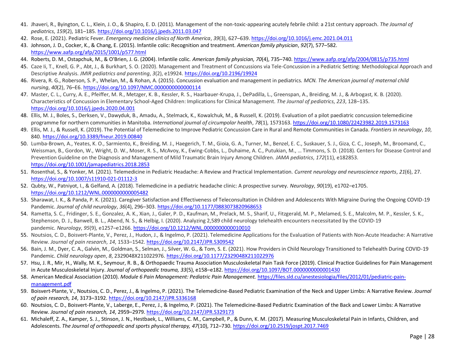- 41. Jhaveri, R., Byington, C. L., Klein, J. O., & Shapiro, E. D. (2011). Management of the non-toxic-appearing acutely febrile child: a 21st century approach. *The Journal of pediatrics*, *159*(2), 181–185[. https://doi.org/10.1016/j.jpeds.2011.03.047](https://doi.org/10.1016/j.jpeds.2011.03.047)
- 42. Rose, E. (2021). Pediatric Fever. *Emergency medicine clinics of North America*, *39*(3), 627–639[. https://doi.org/10.1016/j.emc.2021.04.011](https://doi.org/10.1016/j.emc.2021.04.011)
- 43. Johnson, J. D., Cocker, K., & Chang, E. (2015). Infantile colic: Recognition and treatment. *American family physician*, *92*(7), 577–582. <https://www.aafp.org/afp/2015/1001/p577.html>
- 44. Roberts, D. M., Ostapchuk, M., & O'Brien, J. G. (2004). Infantile colic. *American family physician, 70*(4), 735–740[. https://www.aafp.org/afp/2004/0815/p735.html](https://www.aafp.org/afp/2004/0815/p735.html)
- 45. Caze Ii, T., Knell, G. P., Abt, J., & Burkhart, S. O. (2020). Management and Treatment of Concussions via Tele-Concussion in a Pediatric Setting: Methodological Approach and Descriptive Analysis. *JMIR pediatrics and parenting*, *3*(2), e19924.<https://doi.org/10.2196/19924>
- 46. Rivera, R. G., Roberson, S. P., Whelan, M., & Rohan, A. (2015). Concussion evaluation and management in pediatrics. *MCN. The American journal of maternal child nursing*, *40*(2), 76–E6.<https://doi.org/10.1097/NMC.0000000000000114>
- 47. Master, C. L., Curry, A. E., Pfeiffer, M. R., Metzger, K. B., Kessler, R. S., Haarbauer-Krupa, J., DePadilla, L., Greenspan, A., Breiding, M. J., & Arbogast, K. B. (2020). Characteristics of Concussion in Elementary School-Aged Children: Implications for Clinical Management. *The Journal of pediatrics*, *223*, 128–135. <https://doi.org/10.1016/j.jpeds.2020.04.001>
- 48. Ellis, M. J., Boles, S., Derksen, V., Dawyduk, B., Amadu, A., Stelmack, K., Kowalchuk, M., & Russell, K. (2019). Evaluation of a pilot paediatric concussion telemedicine programme for northern communities in Manitoba. *International journal of circumpolar health*, *78*(1), 1573163.<https://doi.org/10.1080/22423982.2019.1573163>
- 49. Ellis, M. J., & Russell, K. (2019). The Potential of Telemedicine to Improve Pediatric Concussion Care in Rural and Remote Communities in Canada. *Frontiers in neurology*, *10*, 840.<https://doi.org/10.3389/fneur.2019.00840>
- 50. Lumba-Brown, A., Yeates, K. O., Sarmiento, K., Breiding, M. J., Haegerich, T. M., Gioia, G. A., Turner, M., Benzel, E. C., Suskauer, S. J., Giza, C. C., Joseph, M., Broomand, C., Weissman, B., Gordon, W., Wright, D. W., Moser, R. S., McAvoy, K., Ewing-Cobbs, L., Duhaime, A. C., Putukian, M., … Timmons, S. D. (2018). Centers for Disease Control and Prevention Guideline on the Diagnosis and Management of Mild Traumatic Brain Injury Among Children. *JAMA pediatrics*, *172*(11), e182853. <https://doi.org/10.1001/jamapediatrics.2018.2853>
- 51. Rosenthal, S., & Yonker, M. (2021). Telemedicine in Pediatric Headache: A Review and Practical Implementation. *Current neurology and neuroscience reports*, *21*(6), 27. <https://doi.org/10.1007/s11910-021-01112-3>
- 52. Qubty, W., Patniyot, I., & Gelfand, A. (2018). Telemedicine in a pediatric headache clinic: A prospective survey. *Neurology*, *90*(19), e1702–e1705. <https://doi.org/10.1212/WNL.0000000000005482>
- 53. Sharawat, I. K., & Panda, P. K. (2021). Caregiver Satisfaction and Effectiveness of Teleconsultation in Children and Adolescents With Migraine During the Ongoing COVID-19 Pandemic. *Journal of child neurology*, *36*(4), 296–303.<https://doi.org/10.1177/0883073820968653>
- 54. Rametta, S. C., Fridinger, S. E., Gonzalez, A. K., Xian, J., Galer, P. D., Kaufman, M., Prelack, M. S., Sharif, U., Fitzgerald, M. P., Melamed, S. E., Malcolm, M. P., Kessler, S. K., Stephenson, D. J., Banwell, B. L., Abend, N. S., & Helbig, I. (2020). Analyzing 2,589 child neurology telehealth encounters necessitated by the COVID-19 pandemic. *Neurology*, *95*(9), e1257–e1266.<https://doi.org/10.1212/WNL.0000000000010010>
- 55. Noutsios, C. D., Boisvert-Plante, V., Perez, J., Hudon, J., & Ingelmo, P. (2021). Telemedicine Applications for the Evaluation of Patients with Non-Acute Headache: A Narrative Review. *Journal of pain research*, *14*, 1533–1542.<https://doi.org/10.2147/JPR.S309542>
- 56. Bain, J. M., Dyer, C. A., Galvin, M., Goldman, S., Selman, J., Silver, W. G., & Tom, S. E. (2021). How Providers in Child Neurology Transitioned to Telehealth During COVID-19 Pandemic. *Child neurology open*, *8*, 2329048X211022976.<https://doi.org/10.1177/2329048X211022976>
- 57. Hsu, J. R., Mir, H., Wally, M. K., Seymour, R. B., & Orthopaedic Trauma Association Musculoskeletal Pain Task Force (2019). Clinical Practice Guidelines for Pain Management in Acute Musculoskeletal Injury. *Journal of orthopaedic trauma, 33*(5), e158–e182[. https://doi.org/10.1097/BOT.0000000000001430](https://doi.org/10.1097/BOT.0000000000001430)
- 58. American Medical Association (2010). *Module 6 Pain Management: Pediatric Pain Management.* [https://files.sld.cu/anestesiologia/files/2012/01/pediatric-pain](https://files.sld.cu/anestesiologia/files/2012/01/pediatric-pain-management.pdf)[management.pdf](https://files.sld.cu/anestesiologia/files/2012/01/pediatric-pain-management.pdf)
- 59. Boisvert-Plante, V., Noutsios, C. D., Perez, J., & Ingelmo, P. (2021). The Telemedicine-Based Pediatric Examination of the Neck and Upper Limbs: A Narrative Review. *Journal of pain research, 14*, 3173–3192.<https://doi.org/10.2147/JPR.S336168>
- 60. Noutsios, C. D., Boisvert-Plante, V., Laberge, E., Perez, J., & Ingelmo, P. (2021). The Telemedicine-Based Pediatric Examination of the Back and Lower Limbs: A Narrative Review. *Journal of pain research, 14*, 2959–2979.<https://doi.org/10.2147/JPR.S329173>
- 61. Michaleff, Z. A., Kamper, S. J., Stinson, J. N., Hestbaek, L., Williams, C. M., Campbell, P., & Dunn, K. M. (2017). Measuring Musculoskeletal Pain in Infants, Children, and Adolescents. *The Journal of orthopaedic and sports physical therapy, 47*(10), 712–730[. https://doi.org/10.2519/jospt.2017.7469](https://doi.org/10.2519/jospt.2017.7469)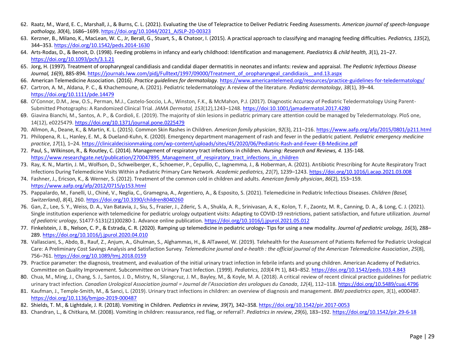- 62. Raatz, M., Ward, E. C., Marshall, J., & Burns, C. L. (2021). Evaluating the Use of Telepractice to Deliver Pediatric Feeding Assessments. *American journal of speech-language pathology, 30*(4), 1686–1699. [https://doi.org/10.1044/2021\\_AJSLP-20-00323](https://doi.org/10.1044/2021_AJSLP-20-00323)
- 63. Kerzner, B., Milano, K., MacLean, W. C., Jr, Berall, G., Stuart, S., & Chatoor, I. (2015). A practical approach to classifying and managing feeding difficulties. *Pediatrics, 135*(2), 344–353.<https://doi.org/10.1542/peds.2014-1630>
- 64. Arts-Rodas, D., & Benoit, D. (1998). Feeding problems in infancy and early childhood: Identification and management. *Paediatrics & child health, 3*(1), 21–27. <https://doi.org/10.1093/pch/3.1.21>
- 65. Jorg, H. (1997). Treatment of oropharyngeal candidiasis and candidal diaper dermatitis in neonates and infants: review and appraisal. *The Pediatric Infectious Disease Journal, 16*(9), 885-894[. https://journals.lww.com/pidj/Fulltext/1997/09000/Treatment\\_of\\_oropharyngeal\\_candidiasis\\_\\_and.13.aspx](https://journals.lww.com/pidj/Fulltext/1997/09000/Treatment_of_oropharyngeal_candidiasis__and.13.aspx)
- 66. American Telemedicine Association. (2016). *Practice guidelines for dermatology.* <https://www.americantelemed.org/resources/practice-guidelines-for-teledermatology/>
- 67. Cartron, A. M., Aldana, P. C., & Khachemoune, A. (2021). Pediatric teledermatology: A review of the literature. *Pediatric dermatology*, *38*(1), 39–44. <https://doi.org/10.1111/pde.14479>
- 68. O'Connor, D.M., Jew, O.S., Perman, M.J., Castelo-Soccio, L.A., Winston, F.K., & McMahon, P.J. (2017). Diagnostic Accuracy of Pediatric Teledermatology Using Parent-Submitted Photographs: A Randomized Clinical Trial. *JAMA Dermatol, 153*(12),1243–1248[. https://doi:10.1001/jamadermatol.2017.4280](https://doi:10.1001/jamadermatol.2017.4280)
- 69. Giavina Bianchi, M., Santos, A. P., & Cordioli, E. (2019). The majority of skin lesions in pediatric primary care attention could be managed by Teledermatology. PloS one, 14(12), e0225479[. https://doi.org/10.1371/journal.pone.0225479](https://doi.org/10.1371/journal.pone.0225479)
- 70. Allmon, A., Deane, K., & Martin, K. L. (2015). Common Skin Rashes in Children. *American family physician*, *92*(3), 211–216[. https://www.aafp.org/afp/2015/0801/p211.html](https://www.aafp.org/afp/2015/0801/p211.html)
- 71. Philopena, R. L., Hanley, E. M., & Dueland-Kuhn, K. (2020). Emergency department management of rash and fever in the pediatric patient. *Pediatric emergency medicine practice*, *17*(1), 1–24[. https://clinicaldecisionmaking.com/wp-content/uploads/sites/45/2020/06/Pediatric-Rash-and-Fever-EB-Medicine.pdf](https://clinicaldecisionmaking.com/wp-content/uploads/sites/45/2020/06/Pediatric-Rash-and-Fever-EB-Medicine.pdf)
- 72. Paul, S., Wilkinson, R., & Routley, C. (2014). Management of respiratory tract infections in children. *Nursing: Research and Reviews, 4.* 135-148. https://www.researchgate.net/publication/270047895 Management of respiratory tract infections in children
- 73. Ray, K. N., Martin, J. M., Wolfson, D., Schweiberger, K., Schoemer, P., Cepullio, C., Iagnemma, J., & Hoberman, A. (2021). Antibiotic Prescribing for Acute Respiratory Tract Infections During Telemedicine Visits Within a Pediatric Primary Care Network. *Academic pediatrics*, *21*(7), 1239–1243.<https://doi.org/10.1016/j.acap.2021.03.008>
- 74. Fashner, J., Ericson, K., & Werner, S. (2012). Treatment of the common cold in children and adults. *American family physician*, *86*(2), 153–159. <https://www.aafp.org/afp/2012/0715/p153.html>
- 75. Pappalardo, M., Fanelli, U., Chiné, V., Neglia, C., Gramegna, A., Argentiero, A., & Esposito, S. (2021). Telemedicine in Pediatric Infectious Diseases. *Children (Basel, Switzerland)*, *8*(4), 260.<https://doi.org/10.3390/children8040260>
- 76. Gan, Z., Lee, S. Y., Weiss, D. A., Van Batavia, J., Siu, S., Frazier, J., Zderic, S. A., Shukla, A. R., Srinivasan, A. K., Kolon, T. F., Zaontz, M. R., Canning, D. A., & Long, C. J. (2021). Single institution experience with telemedicine for pediatric urology outpatient visits: Adapting to COVID-19 restrictions, patient satisfaction, and future utilization. *Journal of pediatric urology*, S1477-5131(21)00280-1. Advance online publication[. https://doi.org/10.1016/j.jpurol.2021.05.012](https://doi.org/10.1016/j.jpurol.2021.05.012)
- 77. Finkelstein, J. B., Nelson, C. P., & Estrada, C. R. (2020). Ramping up telemedicine in pediatric urology- Tips for using a new modality. *Journal of pediatric urology, 16*(3), 288– 289.<https://doi.org/10.1016/j.jpurol.2020.04.010>
- 78. Vallasciani, S., Abdo, B., Rauf, Z., Anjum, A., Ghulman, S., Alghammas, H., & AlTaweel, W. (2019). Telehealth for the Assessment of Patients Referred for Pediatric Urological Care: A Preliminary Cost Savings Analysis and Satisfaction Survey. *Telemedicine journal and e-health : the official journal of the American Telemedicine Association*, *25*(8), 756–761.<https://doi.org/10.1089/tmj.2018.0159>
- 79. Practice parameter: the diagnosis, treatment, and evaluation of the initial urinary tract infection in febrile infants and young children. American Academy of Pediatrics. Committee on Quality Improvement. Subcommittee on Urinary Tract Infection. (1999). *Pediatrics*, *103*(4 Pt 1), 843–852[. https://doi.org/10.1542/peds.103.4.843](https://doi.org/10.1542/peds.103.4.843)
- 80. Chua, M., Ming, J., Chang, S. J., Santos, J. D., Mistry, N., Silangcruz, J. M., Bayley, M., & Koyle, M. A. (2018). A critical review of recent clinical practice guidelines for pediatric urinary tract infection. *Canadian Urological Association journal = Journal de l'Association des urologues du Canada*, *12*(4), 112–118[. https://doi.org/10.5489/cuaj.4796](https://doi.org/10.5489/cuaj.4796)
- 81. Kaufman, J., Temple-Smith, M., & Sanci, L. (2019). Urinary tract infections in children: an overview of diagnosis and management. *BMJ paediatrics open*, *3*(1), e000487. <https://doi.org/10.1136/bmjpo-2019-000487>
- 82. Shields, T. M., & Lightdale, J. R. (2018). Vomiting in Children. *Pediatrics in review, 39*(7), 342–358[. https://doi.org/10.1542/pir.2017-0053](https://doi.org/10.1542/pir.2017-0053)
- 83. Chandran, L., & Chitkara, M. (2008). Vomiting in children: reassurance, red flag, or referral?. *Pediatrics in review*, *29*(6), 183–192[. https://doi.org/10.1542/pir.29-6-18](https://doi.org/10.1542/pir.29-6-18)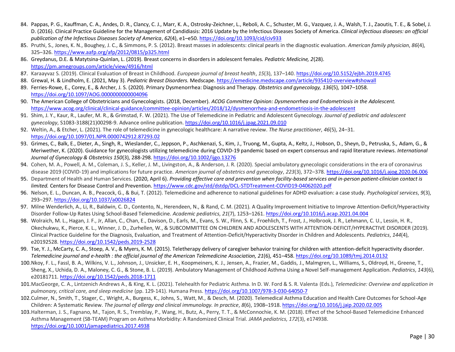- 84. Pappas, P. G., Kauffman, C. A., Andes, D. R., Clancy, C. J., Marr, K. A., Ostrosky-Zeichner, L., Reboli, A. C., Schuster, M. G., Vazquez, J. A., Walsh, T. J., Zaoutis, T. E., & Sobel, J. D. (2016). Clinical Practice Guideline for the Management of Candidiasis: 2016 Update by the Infectious Diseases Society of America. *Clinical infectious diseases: an official publication of the Infectious Diseases Society of America*, *62*(4), e1–e50.<https://doi.org/10.1093/cid/civ933>
- 85. Pruthi, S., Jones, K. N., Boughey, J. C., & Simmons, P. S. (2012). Breast masses in adolescents: clinical pearls in the diagnostic evaluation. *American family physician*, *86*(4), 325–326.<https://www.aafp.org/afp/2012/0815/p325.html>
- 86. Greydanus, D.E. & Matytsina-Quinlan, L. (2019). Breast concerns in disorders in adolescent females. *Pediatric Medicine, 2*(28). <https://pm.amegroups.com/article/view/4916/html>
- 87. Karaayvaz S. (2019). Clinical Evaluation of Breast in Childhood. *European journal of breast health*, *15*(3), 137–140[. https://doi.org/10.5152/ejbh.2019.4745](https://doi.org/10.5152/ejbh.2019.4745)
- 88. Grewal, H. & Lindholm, E. (2021, May 3). *Pediatric Breast Disorders.* Medscape[. https://emedicine.medscape.com/article/935410-overview#showall](https://emedicine.medscape.com/article/935410-overview#showall)
- 89. Ferries-Rowe, E., Corey, E., & Archer, J. S. (2020). Primary Dysmenorrhea: Diagnosis and Therapy. *Obstetrics and gynecology, 136*(5), 1047–1058. <https://doi.org/10.1097/AOG.0000000000004096>
- 90. The American College of Obstetricians and Gynecologists. (2018, December). *ACOG Committee Opinion: Dysmenorrhea and Endometriosis in the Adolescent.* <https://www.acog.org/clinical/clinical-guidance/committee-opinion/articles/2018/12/dysmenorrhea-and-endometriosis-in-the-adolescent>
- 91. Shim, J. Y., Kaur, R., Laufer, M. R., & Grimstad, F. W. (2021). The Use of Telemedicine in Pediatric and Adolescent Gynecology. *Journal of pediatric and adolescent gynecology*, S1083-3188(21)00298-9. Advance online publication[. https://doi.org/10.1016/j.jpag.2021.09.010](https://doi.org/10.1016/j.jpag.2021.09.010)
- 92. Weltin, A., & Etcher, L. (2021). The role of telemedicine in gynecologic healthcare: A narrative review. *The Nurse practitioner*, *46*(5), 24–31. <https://doi.org/10.1097/01.NPR.0000742912.87293.02>
- 93. Grimes, C., Balk, E., Dieter, A., Singh, R., Wieslander, C., Jeppson, P., Aschkenazi, S., Kim, J., Truong, M., Gupta, A., Keltz, J., Hobson, D., Sheyn, D., Petruska, S., Adam, G., & Meriwether, K. (2020). Guidance for gynecologists utilizing telemedicine during COVID‐19 pandemic based on expert consensus and rapid literature reviews. *International Journal of Gynecology & Obstetrics 150*(3), 288-298.<https://doi.org/10.1002/ijgo.13276>
- 94. Cohen, M. A., Powell, A. M., Coleman, J. S., Keller, J. M., Livingston, A., & Anderson, J. R. (2020). Special ambulatory gynecologic considerations in the era of coronavirus disease 2019 (COVID-19) and implications for future practice. *American journal of obstetrics and gynecology*, *223*(3), 372–378.<https://doi.org/10.1016/j.ajog.2020.06.006>
- 95. Department of Health and Human Services. (2020, April 6). *Providing effective care and prevention when facility-based services and in-person patient-clinician contact is limited.* Centers for Disease Control and Prevention[. https://www.cdc.gov/std/dstdp/DCL-STDTreatment-COVID19-04062020.pdf](https://www.cdc.gov/std/dstdp/DCL-STDTreatment-COVID19-04062020.pdf)
- 96. Nelson, E. L., Duncan, A. B., Peacock, G., & Bui, T. (2012). Telemedicine and adherence to national guidelines for ADHD evaluation: a case study. *Psychological services*, *9*(3), 293–297.<https://doi.org/10.1037/a0026824>
- 97. Milne Wenderlich, A., Li, R., Baldwin, C. D., Contento, N., Herendeen, N., & Rand, C. M. (2021). A Quality Improvement Initiative to Improve Attention-Deficit/Hyperactivity Disorder Follow-Up Rates Using School-Based Telemedicine. *Academic pediatrics*, *21*(7), 1253–1261[. https://doi.org/10.1016/j.acap.2021.04.004](https://doi.org/10.1016/j.acap.2021.04.004)
- 98. Wolraich, M. L., Hagan, J. F., Jr, Allan, C., Chan, E., Davison, D., Earls, M., Evans, S. W., Flinn, S. K., Froehlich, T., Frost, J., Holbrook, J. R., Lehmann, C. U., Lessin, H. R., Okechukwu, K., Pierce, K. L., Winner, J. D., Zurhellen, W., & SUBCOMMITTEE ON CHILDREN AND ADOLESCENTS WITH ATTENTION-DEFICIT/HYPERACTIVE DISORDER (2019). Clinical Practice Guideline for the Diagnosis, Evaluation, and Treatment of Attention-Deficit/Hyperactivity Disorder in Children and Adolescents. *Pediatrics*, *144*(4), e20192528.<https://doi.org/10.1542/peds.2019-2528>
- 99. Tse, Y. J., McCarty, C. A., Stoep, A. V., & Myers, K. M. (2015). Teletherapy delivery of caregiver behavior training for children with attention-deficit hyperactivity disorder. *Telemedicine journal and e-health : the official journal of the American Telemedicine Association, 21*(6), 451–458[. https://doi.org/10.1089/tmj.2014.0132](https://doi.org/10.1089/tmj.2014.0132)
- 100.Nkoy, F. L., Fassl, B. A., Wilkins, V. L., Johnson, J., Unsicker, E. H., Koopmeiners, K. J., Jensen, A., Frazier, M., Gaddis, J., Malmgren, L., Williams, S., Oldroyd, H., Greene, T., Sheng, X., Uchida, D. A., Maloney, C. G., & Stone, B. L. (2019). Ambulatory Management of Childhood Asthma Using a Novel Self-management Application. *Pediatrics*, *143*(6), e20181711.<https://doi.org/10.1542/peds.2018-1711>
- 101.MacGeorge, C. A., Lintzenich Andrews A., & King, K. L. (2021). Telehealth for Pediatric Asthma. In D. W. Ford & S. R. Valenta (Eds.), *Telemedicine: Overview and application in pulmonary, critical care, and sleep medicine* (pp. 129-141). Humana Press. <https://doi.org/10.1007/978-3-030-64050-7>
- 102.Culmer, N., Smith, T., Stager, C., Wright, A., Burgess, K., Johns, S., Watt, M., & Desch, M. (2020). Telemedical Asthma Education and Health Care Outcomes for School-Age Children: A Systematic Review. *The journal of allergy and clinical immunology. In practice*, *8*(6), 1908–1918[. https://doi.org/10.1016/j.jaip.2020.02.005](https://doi.org/10.1016/j.jaip.2020.02.005)
- 103.Halterman, J. S., Fagnano, M., Tajon, R. S., Tremblay, P., Wang, H., Butz, A., Perry, T. T., & McConnochie, K. M. (2018). Effect of the School-Based Telemedicine Enhanced Asthma Management (SB-TEAM) Program on Asthma Morbidity: A Randomized Clinical Trial. *JAMA pediatrics*, *172*(3), e174938. <https://doi.org/10.1001/jamapediatrics.2017.4938>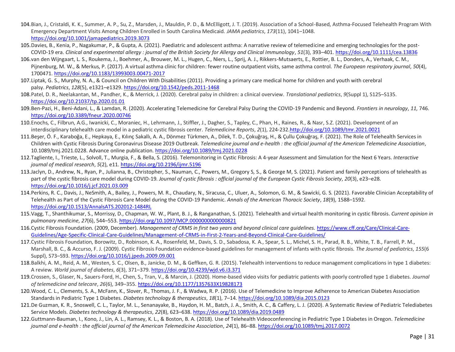- 104.Bian, J., Cristaldi, K. K., Summer, A. P., Su, Z., Marsden, J., Mauldin, P. D., & McElligott, J. T. (2019). Association of a School-Based, Asthma-Focused Telehealth Program With Emergency Department Visits Among Children Enrolled in South Carolina Medicaid. *JAMA pediatrics*, *173*(11), 1041–1048. <https://doi.org/10.1001/jamapediatrics.2019.3073>
- 105.Davies, B., Kenia, P., Nagakumar, P., & Gupta, A. (2021). Paediatric and adolescent asthma: A narrative review of telemedicine and emerging technologies for the post-COVID-19 era. *Clinical and experimental allergy : journal of the British Society for Allergy and Clinical Immunology*, *51*(3), 393–401.<https://doi.org/10.1111/cea.13836>
- 106.van den Wijngaart, L. S., Roukema, J., Boehmer, A., Brouwer, M. L., Hugen, C., Niers, L., Sprij, A. J., Rikkers-Mutsaerts, E., Rottier, B. L., Donders, A., Verhaak, C. M., Pijnenburg, M. W., & Merkus, P. (2017). A virtual asthma clinic for children: fewer routine outpatient visits, same asthma control. *The European respiratory journal*, *50*(4), 1700471.<https://doi.org/10.1183/13993003.00471-2017>
- 107.Liptak, G. S., Murphy, N. A., & Council on Children With Disabilities (2011). Providing a primary care medical home for children and youth with cerebral palsy. *Pediatrics*, *128*(5), e1321–e1329[. https://doi.org/10.1542/peds.2011-1468](https://doi.org/10.1542/peds.2011-1468)
- 108.Patel, D. R., Neelakantan, M., Pandher, K., & Merrick, J. (2020). Cerebral palsy in children: a clinical overview. *Translational pediatrics*, *9*(Suppl 1), S125–S135. <https://doi.org/10.21037/tp.2020.01.01>
- 109.Ben-Pazi, H., Beni-Adani, L., & Lamdan, R. (2020). Accelerating Telemedicine for Cerebral Palsy During the COVID-19 Pandemic and Beyond. *Frontiers in neurology*, *11*, 746. <https://doi.org/10.3389/fneur.2020.00746>
- 110.Enochs, C., Filbrun, A.G., Iwanicki, C., Moraniec, H., Lehrmann, J., Stiffler, J., Dagher, S., Tapley, C., Phan, H., Raines, R., & Nasr, S.Z. (2021). Development of an interdisciplinary telehealth care model in a pediatric cystic fibrosis center. *Telemedicine Reports*, *2*(1), 224-232[.http://doi.org/10.1089/tmr.2021.0021](https://doi.org/10.1089/tmr.2021.0021)
- 111.Beşer, Ö. F., Karaboğa, E., Hepkaya, E., Kılınç Sakallı, A. A., Dönmez Türkmen, A., Dilek, T. D., Çokuğraş, H., & Çullu Çokuğraş, F. (2021). The Role of Telehealth Services in Children with Cystic Fibrosis During Coronavirus Disease 2019 Outbreak. *Telemedicine journal and e-health : the official journal of the American Telemedicine Association*, 10.1089/tmj.2021.0228. Advance online publication.<https://doi.org/10.1089/tmj.2021.0228>
- 112.Tagliente, I., Trieste, L., Solvoll, T., Murgia, F., & Bella, S. (2016). Telemonitoring in Cystic Fibrosis: A 4-year Assessment and Simulation for the Next 6 Years. *Interactive journal of medical research*, *5*(2), e11[. https://doi.org/10.2196/ijmr.5196](https://doi.org/10.2196/ijmr.5196)
- 113.Jaclyn, D., Andrew, N., Ryan, P., Julianna, B., Christopher, S., Nauman, C., Powers, M., Gregory S, S., & George M, S. (2021). Patient and family perceptions of telehealth as part of the cystic fibrosis care model during COVID-19. *Journal of cystic fibrosis : official journal of the European Cystic Fibrosis Society*, *20*(3), e23–e28. <https://doi.org/10.1016/j.jcf.2021.03.009>
- 114.Perkins, R. C., Davis, J., NeSmith, A., Bailey, J., Powers, M. R., Chaudary, N., Siracusa, C., Uluer, A., Solomon, G. M., & Sawicki, G. S. (2021). Favorable Clinician Acceptability of Telehealth as Part of the Cystic Fibrosis Care Model during the COVID-19 Pandemic. *Annals of the American Thoracic Society*, *18*(9), 1588–1592. <https://doi.org/10.1513/AnnalsATS.202012-1484RL>
- 115.Vagg, T., Shanthikumar, S., Morrissy, D., Chapman, W. W., Plant, B. J., & Ranganathan, S. (2021). Telehealth and virtual health monitoring in cystic fibrosis. *Current opinion in pulmonary medicine*, *27*(6), 544–553[. https://doi.org/10.1097/MCP.0000000000000821](https://doi.org/10.1097/MCP.0000000000000821)
- 116.Cystic Fibrosis Foundation. (2009, December). *Management of CRMS in first two years and beyond clinical care guidelines.* [https://www.cff.org/Care/Clinical-Care-](https://www.cff.org/Care/Clinical-Care-Guidelines/Age-Specific-Clinical-Care-Guidelines/Management-of-CRMS-in-First-2-Years-and-Beyond-Clinical-Care-Guidelines/)[Guidelines/Age-Specific-Clinical-Care-Guidelines/Management-of-CRMS-in-First-2-Years-and-Beyond-Clinical-Care-Guidelines/](https://www.cff.org/Care/Clinical-Care-Guidelines/Age-Specific-Clinical-Care-Guidelines/Management-of-CRMS-in-First-2-Years-and-Beyond-Clinical-Care-Guidelines/)
- 117.Cystic Fibrosis Foundation, Borowitz, D., Robinson, K. A., Rosenfeld, M., Davis, S. D., Sabadosa, K. A., Spear, S. L., Michel, S. H., Parad, R. B., White, T. B., Farrell, P. M., Marshall, B. C., & Accurso, F. J. (2009). Cystic Fibrosis Foundation evidence-based guidelines for management of infants with cystic fibrosis. *The Journal of pediatrics*, *155*(6 Suppl), S73–S93[. https://doi.org/10.1016/j.jpeds.2009.09.001](https://doi.org/10.1016/j.jpeds.2009.09.001)
- 118.Balkhi, A. M., Reid, A. M., Westen, S. C., Olsen, B., Janicke, D. M., & Geffken, G. R. (2015). Telehealth interventions to reduce management complications in type 1 diabetes: A review. *World journal of diabetes*, *6*(3), 371–379[. https://doi.org/10.4239/wjd.v6.i3.371](https://doi.org/10.4239/wjd.v6.i3.371)
- 119.Crossen, S., Glaser, N., Sauers-Ford, H., Chen, S., Tran, V., & Marcin, J. (2020). Home-based video visits for pediatric patients with poorly controlled type 1 diabetes. *Journal of telemedicine and telecare*, *26*(6), 349–355[. https://doi.org/10.1177/1357633X19828173](https://doi.org/10.1177/1357633X19828173)
- 120.Wood, C. L., Clements, S. A., McFann, K., Slover, R., Thomas, J. F., & Wadwa, R. P. (2016). Use of Telemedicine to Improve Adherence to American Diabetes Association Standards in Pediatric Type 1 Diabetes. *Diabetes technology & therapeutics*, *18*(1), 7–14.<https://doi.org/10.1089/dia.2015.0123>
- 121.De Guzman, K. R., Snoswell, C. L., Taylor, M. L., Senanayake, B., Haydon, H. M., Batch, J. A., Smith, A. C., & Caffery, L. J. (2020). A Systematic Review of Pediatric Telediabetes Service Models. *Diabetes technology & therapeutics*, *22*(8), 623–638.<https://doi.org/10.1089/dia.2019.0489>
- 122.Guttmann-Bauman, I., Kono, J., Lin, A. L., Ramsey, K. L., & Boston, B. A. (2018). Use of Telehealth Videoconferencing in Pediatric Type 1 Diabetes in Oregon. *Telemedicine journal and e-health : the official journal of the American Telemedicine Association*, *24*(1), 86–88.<https://doi.org/10.1089/tmj.2017.0072>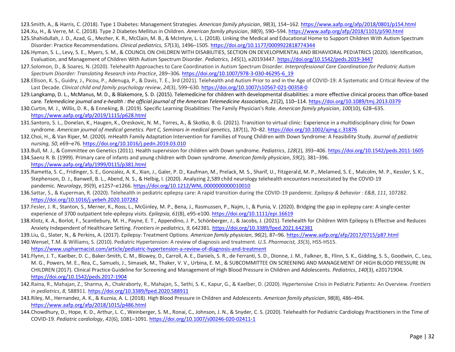123.Smith, A., & Harris, C. (2018). Type 1 Diabetes: Management Strategies. *American family physician*, *98*(3), 154–162[. https://www.aafp.org/afp/2018/0801/p154.html](https://www.aafp.org/afp/2018/0801/p154.html) 124.Xu, H., & Verre, M. C. (2018). Type 2 Diabetes Mellitus in Children. *American family physician*, *98*(9), 590–594.<https://www.aafp.org/afp/2018/1101/p590.html>

- 125.Shahidullah, J. D., Azad, G., Mezher, K. R., McClain, M. B., & McIntyre, L. L. (2018). Linking the Medical and Educational Home to Support Children With Autism Spectrum Disorder: Practice Recommendations. *Clinical pediatrics*, *57*(13), 1496–1505[. https://doi.org/10.1177/0009922818774344](https://doi.org/10.1177/0009922818774344)
- 126.Hyman, S. L., Levy, S. E., Myers, S. M., & COUNCIL ON CHILDREN WITH DISABILITIES, SECTION ON DEVELOPMENTAL AND BEHAVIORAL PEDIATRICS (2020). Identification, Evaluation, and Management of Children With Autism Spectrum Disorder. *Pediatrics*, *145*(1), e20193447[. https://doi.org/10.1542/peds.2019-3447](https://doi.org/10.1542/peds.2019-3447)
- 127.Solomon, D., & Soares, N. (2020). Telehealth Approaches to Care Coordination in Autism Spectrum Disorder. *Interprofessional Care Coordination for Pediatric Autism Spectrum Disorder: Translating Research into Practice*, 289–306[. https://doi.org/10.1007/978-3-030-46295-6\\_19](https://doi.org/10.1007/978-3-030-46295-6_19)
- 128.Ellison, K. S., Guidry, J., Picou, P., Adenuga, P., & Davis, T. E., 3rd (2021). Telehealth and Autism Prior to and in the Age of COVID-19: A Systematic and Critical Review of the Last Decade. *Clinical child and family psychology review*, *24*(3), 599–630[. https://doi.org/10.1007/s10567-021-00358-0](https://doi.org/10.1007/s10567-021-00358-0)
- 129.Langkamp, D. L., McManus, M. D., & Blakemore, S. D. (2015). Telemedicine for children with developmental disabilities: a more effective clinical process than office-based care. *Telemedicine journal and e-health : the official journal of the American Telemedicine Association, 21*(2), 110–114.<https://doi.org/10.1089/tmj.2013.0379>
- 130.Curtin, M. J., Willis, D. R., & Enneking, B. (2019). Specific Learning Disabilities: The Family Physician's Role. *American family physician*, *100*(10), 628–635. <https://www.aafp.org/afp/2019/1115/p628.html>
- 131.Santoro, S. L., Donelan, K., Haugen, K., Oreskovic, N. M., Torres, A., & Skotko, B. G. (2021). Transition to virtual clinic: Experience in a multidisciplinary clinic for Down syndrome. *American journal of medical genetics. Part C, Seminars in medical genetics*, *187*(1), 70–82.<https://doi.org/10.1002/ajmg.c.31876>
- 132.Choi, H., & Van Riper, M. (2020). mHealth Family Adaptation Intervention for Families of Young Children with Down Syndrome: A Feasibility Study. *Journal of pediatric nursing*, *50*, e69–e76.<https://doi.org/10.1016/j.pedn.2019.03.010>
- 133.Bull, M. J., & Committee on Genetics (2011). Health supervision for children with Down syndrome. *Pediatrics*, *128*(2), 393–406.<https://doi.org/10.1542/peds.2011-1605>

134.Saenz R. B. (1999). Primary care of infants and young children with Down syndrome. *American family physician*, *59*(2), 381–396. <https://www.aafp.org/afp/1999/0115/p381.html>

- 135.Rametta, S. C., Fridinger, S. E., Gonzalez, A. K., Xian, J., Galer, P. D., Kaufman, M., Prelack, M. S., Sharif, U., Fitzgerald, M. P., Melamed, S. E., Malcolm, M. P., Kessler, S. K., Stephenson, D. J., Banwell, B. L., Abend, N. S., & Helbig, I. (2020). Analyzing 2,589 child neurology telehealth encounters necessitated by the COVID-19 pandemic. *Neurology*, *95*(9), e1257–e1266.<https://doi.org/10.1212/WNL.0000000000010010>
- 136.Sattar, S., & Kuperman, R. (2020). Telehealth in pediatric epilepsy care: A rapid transition during the COVID-19 pandemic. *Epilepsy & behavior : E&B*, *111*, 107282. <https://doi.org/10.1016/j.yebeh.2020.107282>
- 137.Fesler, J. R., Stanton, S., Merner, K., Ross, L., McGinley, M. P., Bena, J., Rasmussen, P., Najm, I., & Punia, V. (2020). Bridging the gap in epilepsy care: A single-center experience of 3700 outpatient tele-epilepsy visits. *Epilepsia, 61*(8), e95-e100.<https://doi.org/10.1111/epi.16619>
- 138.Klotz, K. A., Borlot, F., Scantlebury, M. H., Payne, E. T., Appendino, J. P., Schönberger, J., & Jacobs, J. (2021). Telehealth for Children With Epilepsy Is Effective and Reduces Anxiety Independent of Healthcare Setting. *Frontiers in pediatrics*, *9*, 642381.<https://doi.org/10.3389/fped.2021.642381>
- 139.Liu, G., Slater, N., & Perkins, A. (2017). Epilepsy: Treatment Options. *American family physician*, *96*(2), 87–96[. https://www.aafp.org/afp/2017/0715/p87.html](https://www.aafp.org/afp/2017/0715/p87.html)
- 140.Wensel, T.M. & Williams, S. (2010). Pediatric Hypertension: A review of diagnosis and treatment. *U.S. Pharmacist, 35*(3), HS5-HS15. <https://www.uspharmacist.com/article/pediatric-hypertension-a-review-of-diagnosis-and-treatment>
- 141.Flynn, J. T., Kaelber, D. C., Baker-Smith, C. M., Blowey, D., Carroll, A. E., Daniels, S. R., de Ferranti, S. D., Dionne, J. M., Falkner, B., Flinn, S. K., Gidding, S. S., Goodwin, C., Leu, M. G., Powers, M. E., Rea, C., Samuels, J., Simasek, M., Thaker, V. V., Urbina, E. M., & SUBCOMMITTEE ON SCREENING AND MANAGEMENT OF HIGH BLOOD PRESSURE IN CHILDREN (2017). Clinical Practice Guideline for Screening and Management of High Blood Pressure in Children and Adolescents. *Pediatrics*, *140*(3), e20171904. <https://doi.org/10.1542/peds.2017-1904>
- 142.Raina, R., Mahajan, Z., Sharma, A., Chakraborty, R., Mahajan, S., Sethi, S. K., Kapur, G., & Kaelber, D. (2020). Hypertensive Crisis in Pediatric Patients: An Overview. *Frontiers in pediatrics*, *8*, 588911.<https://doi.org/10.3389/fped.2020.588911>
- 143.Riley, M., Hernandez, A. K., & Kuznia, A. L. (2018). High Blood Pressure in Children and Adolescents. *American family physician*, *98*(8), 486–494. <https://www.aafp.org/afp/2018/1015/p486.html>
- 144.Chowdhury, D., Hope, K. D., Arthur, L. C., Weinberger, S. M., Ronai, C., Johnson, J. N., & Snyder, C. S. (2020). Telehealth for Pediatric Cardiology Practitioners in the Time of COVID-19. *Pediatric cardiology*, *41*(6), 1081–1091[. https://doi.org/10.1007/s00246-020-02411-1](https://doi.org/10.1007/s00246-020-02411-1)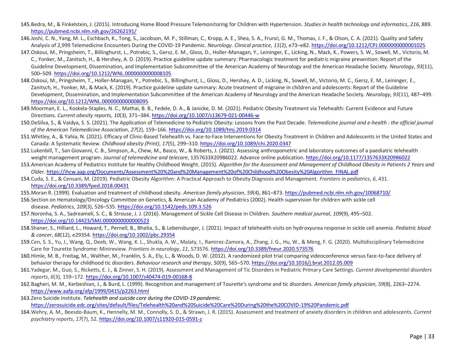- 145.Bedra, M., & Finkelstein, J. (2015). Introducing Home Blood Pressure Telemonitoring for Children with Hypertension. *Studies in health technology and informatics*, *216*, 889. <https://pubmed.ncbi.nlm.nih.gov/26262191/>
- 146.Joshi, C. N., Yang, M. L., Eschbach, K., Tong, S., Jacobson, M. P., Stillman, C., Kropp, A. E., Shea, S. A., Frunzi, G. M., Thomas, J. F., & Olson, C. A. (2021). Quality and Safety Analysis of 2,999 Telemedicine Encounters During the COVID-19 Pandemic. *Neurology. Clinical practice*, *11*(2), e73–e82[. https://doi.org/10.1212/CPJ.0000000000001025](https://doi.org/10.1212/CPJ.0000000000001025)
- 147.Oskoui, M., Pringsheim, T., Billinghurst, L., Potrebic, S., Gersz, E. M., Gloss, D., Holler-Managan, Y., Leininger, E., Licking, N., Mack, K., Powers, S. W., Sowell, M., Victorio, M. C., Yonker, M., Zanitsch, H., & Hershey, A. D. (2019). Practice guideline update summary: Pharmacologic treatment for pediatric migraine prevention: Report of the Guideline Development, Dissemination, and Implementation Subcommittee of the American Academy of Neurology and the American Headache Society. *Neurology*, *93*(11), 500–509.<https://doi.org/10.1212/WNL.0000000000008105>
- 148.Oskoui, M., Pringsheim, T., Holler-Managan, Y., Potrebic, S., Billinghurst, L., Gloss, D., Hershey, A. D., Licking, N., Sowell, M., Victorio, M. C., Gersz, E. M., Leininger, E., Zanitsch, H., Yonker, M., & Mack, K. (2019). Practice guideline update summary: Acute treatment of migraine in children and adolescents: Report of the Guideline Development, Dissemination, and Implementation Subcommittee of the American Academy of Neurology and the American Headache Society. *Neurology*, *93*(11), 487–499. <https://doi.org/10.1212/WNL.0000000000008095>
- 149.Moorman, E. L., Koskela-Staples, N. C., Mathai, B. B., Fedele, D. A., & Janicke, D. M. (2021). Pediatric Obesity Treatment via Telehealth: Current Evidence and Future Directions. *Current obesity reports*, *10*(3), 371–384[. https://doi.org/10.1007/s13679-021-00446-w](https://doi.org/10.1007/s13679-021-00446-w)
- 150.DeSilva, S., & Vaidya, S. S. (2021). The Application of Telemedicine to Pediatric Obesity: Lessons from the Past Decade. *Telemedicine journal and e-health : the official journal of the American Telemedicine Association*, *27*(2), 159–166[. https://doi.org/10.1089/tmj.2019.0314](https://doi.org/10.1089/tmj.2019.0314)
- 151.Whitley, A., & Yahia, N. (2021). Efficacy of Clinic-Based Telehealth vs. Face-to-Face Interventions for Obesity Treatment in Children and Adolescents in the United States and Canada: A Systematic Review. *Childhood obesity (Print)*, *17*(5), 299–310[. https://doi.org/10.1089/chi.2020.0347](https://doi.org/10.1089/chi.2020.0347)
- 152.Lukenbill, T., San Giovanni, C. B., Simpson, A., Chew, M., Basco, W., & Roberts, J. (2021). Assessing anthropometric and laboratory outcomes of a paediatric telehealth weight management program. *Journal of telemedicine and telecare*, 1357633X20986022. Advance online publication[. https://doi.org/10.1177/1357633X20986022](https://doi.org/10.1177/1357633X20986022)
- 153.American Academy of Pediatrics Institute for Healthy Childhood Weight. (2015). *Algorithm for the Assessment and Management of Childhood Obesity in Patients 2 Years and Older.* [https://ihcw.aap.org/Documents/Assessment%20%20and%20Management%20of%20Childhood%20Obesity%20Algorithm\\_FINAL.pdf](https://ihcw.aap.org/Documents/Assessment%20%20and%20Management%20of%20Childhood%20Obesity%20Algorithm_FINAL.pdf)
- 154.Cuda, S. E., & Censani, M. (2019). Pediatric Obesity Algorithm: A Practical Approach to Obesity Diagnosis and Management. *Frontiers in pediatrics*, *6*, 431. <https://doi.org/10.3389/fped.2018.00431>
- 155.Moran R. (1999). Evaluation and treatment of childhood obesity. *American family physician*, *59*(4), 861–873.<https://pubmed.ncbi.nlm.nih.gov/10068710/>
- 156.Section on Hematology/Oncology Committee on Genetics, & American Academy of Pediatrics (2002). Health supervision for children with sickle cell disease. *Pediatrics*, *109*(3), 526–535[. https://doi.org/10.1542/peds.109.3.526](https://doi.org/10.1542/peds.109.3.526)
- 157.Noronha, S. A., Sadreameli, S. C., & Strouse, J. J. (2016). Management of Sickle Cell Disease in Children. *Southern medical journal*, *109*(9), 495–502. <https://doi.org/10.14423/SMJ.0000000000000523>
- 158.Shaner, S., Hilliard, L., Howard, T., Pernell, B., Bhatia, S., & Lebensburger, J. (2021). Impact of telehealth visits on hydroxyurea response in sickle cell anemia. *Pediatric blood & cancer*, *68*(12), e29354.<https://doi.org/10.1002/pbc.29354>
- 159.Cen, S. S., Yu, J., Wang, Q., Deeb, W., Wang, K. L., Shukla, A. W., Malaty, I., Ramirez-Zamora, A., Zhang, J. G., Hu, W., & Meng, F. G. (2020). Multidisciplinary Telemedicine Care for Tourette Syndrome: Minireview. *Frontiers in neurology*, *11*, 573576.<https://doi.org/10.3389/fneur.2020.573576>
- 160.Himle, M. B., Freitag, M., Walther, M., Franklin, S. A., Ely, L., & Woods, D. W. (2012). A randomized pilot trial comparing videoconference versus face-to-face delivery of behavior therapy for childhood tic disorders. *Behaviour research and therapy*, *50*(9), 565–570.<https://doi.org/10.1016/j.brat.2012.05.009>
- 161.Yadegar, M., Guo, S., Ricketts, E. J., & Zinner, S. H. (2019). Assessment and Management of Tic Disorders in Pediatric Primary Care Settings. *Current developmental disorders reports*, *6*(3), 159–172.<https://doi.org/10.1007/s40474-019-00168-8>
- 162.Bagheri, M. M., Kerbeshian, J., & Burd, L. (1999). Recognition and management of Tourette's syndrome and tic disorders. *American family physician*, *59*(8), 2263–2274. <https://www.aafp.org/afp/1999/0415/p2263.html>
- 163.Zero Suicide Institute. *Telehealth and suicide care during the COVID-19 pandemic.* <https://zerosuicide.edc.org/sites/default/files/Telehealth%20and%20Suicide%20Care%20During%20the%20COVID-19%20Pandemic.pdf>
- 164.Wehry, A. M., Beesdo-Baum, K., Hennelly, M. M., Connolly, S. D., & Strawn, J. R. (2015). Assessment and treatment of anxiety disorders in children and adolescents. *Current psychiatry reports*, *17*(7), 52[. https://doi.org/10.1007/s11920-015-0591-z](https://doi.org/10.1007/s11920-015-0591-z)